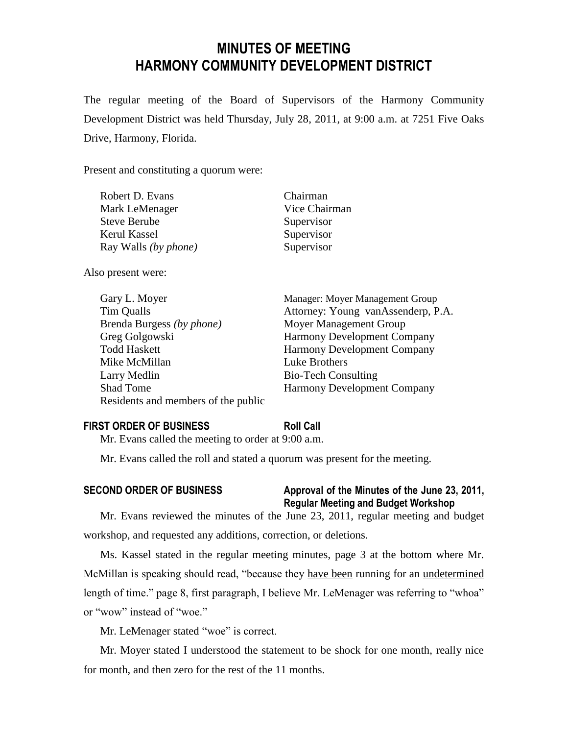# **MINUTES OF MEETING HARMONY COMMUNITY DEVELOPMENT DISTRICT**

The regular meeting of the Board of Supervisors of the Harmony Community Development District was held Thursday, July 28, 2011, at 9:00 a.m. at 7251 Five Oaks Drive, Harmony, Florida.

Present and constituting a quorum were:

| Robert D. Evans             | Chairman      |
|-----------------------------|---------------|
| Mark LeMenager              | Vice Chairman |
| Steve Berube                | Supervisor    |
| Kerul Kassel                | Supervisor    |
| Ray Walls <i>(by phone)</i> | Supervisor    |

Also present were:

| Gary L. Moyer                       | Manager: Moyer Management Group    |
|-------------------------------------|------------------------------------|
| Tim Qualls                          | Attorney: Young vanAssenderp, P.A. |
| Brenda Burgess (by phone)           | Moyer Management Group             |
| Greg Golgowski                      | <b>Harmony Development Company</b> |
| <b>Todd Haskett</b>                 | <b>Harmony Development Company</b> |
| Mike McMillan                       | Luke Brothers                      |
| Larry Medlin                        | <b>Bio-Tech Consulting</b>         |
| <b>Shad Tome</b>                    | <b>Harmony Development Company</b> |
| Residents and members of the public |                                    |

#### **FIRST ORDER OF BUSINESS Roll Call**

Mr. Evans called the meeting to order at 9:00 a.m.

Mr. Evans called the roll and stated a quorum was present for the meeting.

## **SECOND ORDER OF BUSINESS Approval of the Minutes of the June 23, 2011, Regular Meeting and Budget Workshop**

Mr. Evans reviewed the minutes of the June 23, 2011, regular meeting and budget workshop, and requested any additions, correction, or deletions.

Ms. Kassel stated in the regular meeting minutes, page 3 at the bottom where Mr. McMillan is speaking should read, "because they have been running for an undetermined length of time." page 8, first paragraph, I believe Mr. LeMenager was referring to "whoa" or "wow" instead of "woe."

Mr. LeMenager stated "woe" is correct.

Mr. Moyer stated I understood the statement to be shock for one month, really nice for month, and then zero for the rest of the 11 months.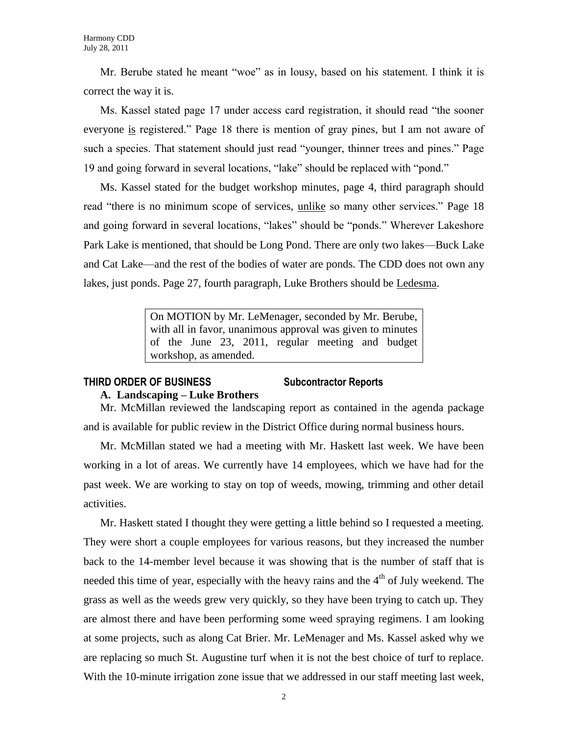Mr. Berube stated he meant "woe" as in lousy, based on his statement. I think it is correct the way it is.

Ms. Kassel stated page 17 under access card registration, it should read "the sooner everyone is registered." Page 18 there is mention of gray pines, but I am not aware of such a species. That statement should just read "younger, thinner trees and pines." Page 19 and going forward in several locations, "lake" should be replaced with "pond."

Ms. Kassel stated for the budget workshop minutes, page 4, third paragraph should read "there is no minimum scope of services, unlike so many other services." Page 18 and going forward in several locations, "lakes" should be "ponds." Wherever Lakeshore Park Lake is mentioned, that should be Long Pond. There are only two lakes—Buck Lake and Cat Lake—and the rest of the bodies of water are ponds. The CDD does not own any lakes, just ponds. Page 27, fourth paragraph, Luke Brothers should be Ledesma.

> On MOTION by Mr. LeMenager, seconded by Mr. Berube, with all in favor, unanimous approval was given to minutes of the June 23, 2011, regular meeting and budget workshop, as amended.

## **THIRD ORDER OF BUSINESS Subcontractor Reports**

## **A. Landscaping – Luke Brothers**

Mr. McMillan reviewed the landscaping report as contained in the agenda package and is available for public review in the District Office during normal business hours.

Mr. McMillan stated we had a meeting with Mr. Haskett last week. We have been working in a lot of areas. We currently have 14 employees, which we have had for the past week. We are working to stay on top of weeds, mowing, trimming and other detail activities.

Mr. Haskett stated I thought they were getting a little behind so I requested a meeting. They were short a couple employees for various reasons, but they increased the number back to the 14-member level because it was showing that is the number of staff that is needed this time of year, especially with the heavy rains and the  $4<sup>th</sup>$  of July weekend. The grass as well as the weeds grew very quickly, so they have been trying to catch up. They are almost there and have been performing some weed spraying regimens. I am looking at some projects, such as along Cat Brier. Mr. LeMenager and Ms. Kassel asked why we are replacing so much St. Augustine turf when it is not the best choice of turf to replace. With the 10-minute irrigation zone issue that we addressed in our staff meeting last week,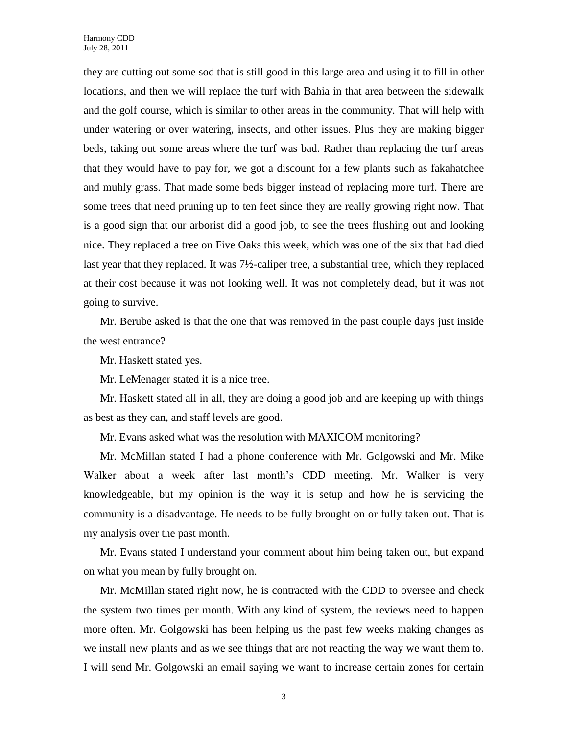they are cutting out some sod that is still good in this large area and using it to fill in other locations, and then we will replace the turf with Bahia in that area between the sidewalk and the golf course, which is similar to other areas in the community. That will help with under watering or over watering, insects, and other issues. Plus they are making bigger beds, taking out some areas where the turf was bad. Rather than replacing the turf areas that they would have to pay for, we got a discount for a few plants such as fakahatchee and muhly grass. That made some beds bigger instead of replacing more turf. There are some trees that need pruning up to ten feet since they are really growing right now. That is a good sign that our arborist did a good job, to see the trees flushing out and looking nice. They replaced a tree on Five Oaks this week, which was one of the six that had died last year that they replaced. It was 7½-caliper tree, a substantial tree, which they replaced at their cost because it was not looking well. It was not completely dead, but it was not going to survive.

Mr. Berube asked is that the one that was removed in the past couple days just inside the west entrance?

Mr. Haskett stated yes.

Mr. LeMenager stated it is a nice tree.

Mr. Haskett stated all in all, they are doing a good job and are keeping up with things as best as they can, and staff levels are good.

Mr. Evans asked what was the resolution with MAXICOM monitoring?

Mr. McMillan stated I had a phone conference with Mr. Golgowski and Mr. Mike Walker about a week after last month's CDD meeting. Mr. Walker is very knowledgeable, but my opinion is the way it is setup and how he is servicing the community is a disadvantage. He needs to be fully brought on or fully taken out. That is my analysis over the past month.

Mr. Evans stated I understand your comment about him being taken out, but expand on what you mean by fully brought on.

Mr. McMillan stated right now, he is contracted with the CDD to oversee and check the system two times per month. With any kind of system, the reviews need to happen more often. Mr. Golgowski has been helping us the past few weeks making changes as we install new plants and as we see things that are not reacting the way we want them to. I will send Mr. Golgowski an email saying we want to increase certain zones for certain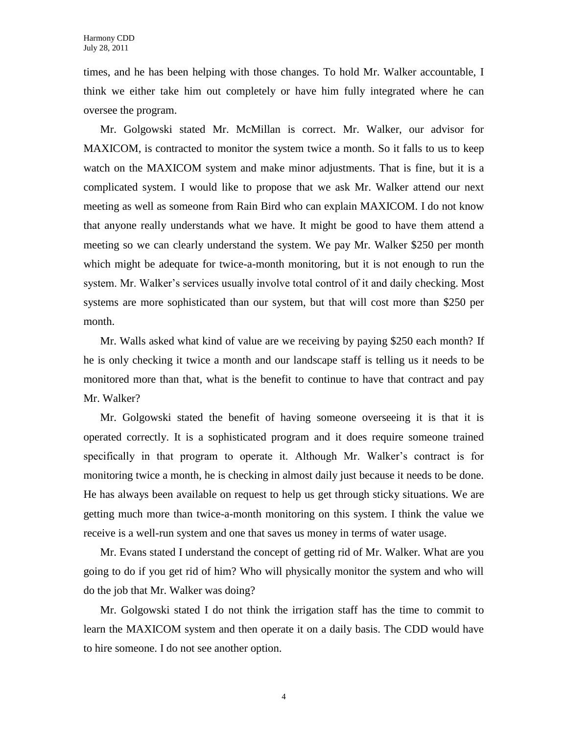times, and he has been helping with those changes. To hold Mr. Walker accountable, I think we either take him out completely or have him fully integrated where he can oversee the program.

Mr. Golgowski stated Mr. McMillan is correct. Mr. Walker, our advisor for MAXICOM, is contracted to monitor the system twice a month. So it falls to us to keep watch on the MAXICOM system and make minor adjustments. That is fine, but it is a complicated system. I would like to propose that we ask Mr. Walker attend our next meeting as well as someone from Rain Bird who can explain MAXICOM. I do not know that anyone really understands what we have. It might be good to have them attend a meeting so we can clearly understand the system. We pay Mr. Walker \$250 per month which might be adequate for twice-a-month monitoring, but it is not enough to run the system. Mr. Walker's services usually involve total control of it and daily checking. Most systems are more sophisticated than our system, but that will cost more than \$250 per month.

Mr. Walls asked what kind of value are we receiving by paying \$250 each month? If he is only checking it twice a month and our landscape staff is telling us it needs to be monitored more than that, what is the benefit to continue to have that contract and pay Mr. Walker?

Mr. Golgowski stated the benefit of having someone overseeing it is that it is operated correctly. It is a sophisticated program and it does require someone trained specifically in that program to operate it. Although Mr. Walker's contract is for monitoring twice a month, he is checking in almost daily just because it needs to be done. He has always been available on request to help us get through sticky situations. We are getting much more than twice-a-month monitoring on this system. I think the value we receive is a well-run system and one that saves us money in terms of water usage.

Mr. Evans stated I understand the concept of getting rid of Mr. Walker. What are you going to do if you get rid of him? Who will physically monitor the system and who will do the job that Mr. Walker was doing?

Mr. Golgowski stated I do not think the irrigation staff has the time to commit to learn the MAXICOM system and then operate it on a daily basis. The CDD would have to hire someone. I do not see another option.

4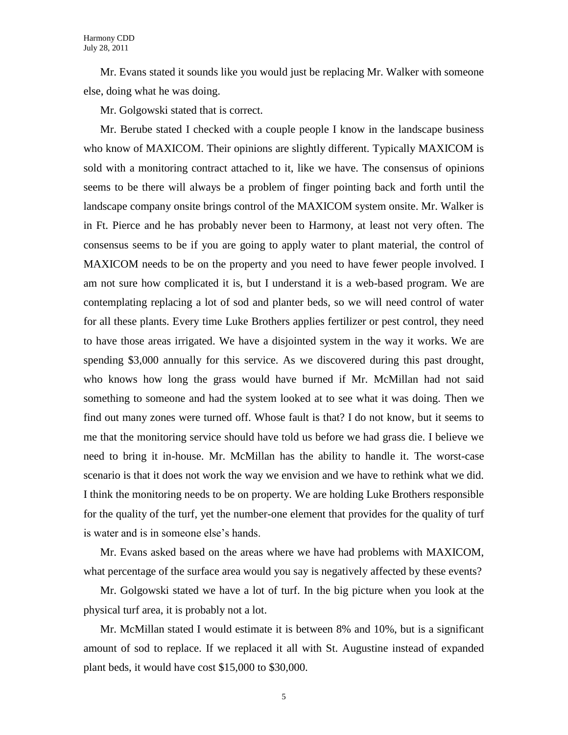Mr. Evans stated it sounds like you would just be replacing Mr. Walker with someone else, doing what he was doing.

Mr. Golgowski stated that is correct.

Mr. Berube stated I checked with a couple people I know in the landscape business who know of MAXICOM. Their opinions are slightly different. Typically MAXICOM is sold with a monitoring contract attached to it, like we have. The consensus of opinions seems to be there will always be a problem of finger pointing back and forth until the landscape company onsite brings control of the MAXICOM system onsite. Mr. Walker is in Ft. Pierce and he has probably never been to Harmony, at least not very often. The consensus seems to be if you are going to apply water to plant material, the control of MAXICOM needs to be on the property and you need to have fewer people involved. I am not sure how complicated it is, but I understand it is a web-based program. We are contemplating replacing a lot of sod and planter beds, so we will need control of water for all these plants. Every time Luke Brothers applies fertilizer or pest control, they need to have those areas irrigated. We have a disjointed system in the way it works. We are spending \$3,000 annually for this service. As we discovered during this past drought, who knows how long the grass would have burned if Mr. McMillan had not said something to someone and had the system looked at to see what it was doing. Then we find out many zones were turned off. Whose fault is that? I do not know, but it seems to me that the monitoring service should have told us before we had grass die. I believe we need to bring it in-house. Mr. McMillan has the ability to handle it. The worst-case scenario is that it does not work the way we envision and we have to rethink what we did. I think the monitoring needs to be on property. We are holding Luke Brothers responsible for the quality of the turf, yet the number-one element that provides for the quality of turf is water and is in someone else's hands.

Mr. Evans asked based on the areas where we have had problems with MAXICOM, what percentage of the surface area would you say is negatively affected by these events?

Mr. Golgowski stated we have a lot of turf. In the big picture when you look at the physical turf area, it is probably not a lot.

Mr. McMillan stated I would estimate it is between 8% and 10%, but is a significant amount of sod to replace. If we replaced it all with St. Augustine instead of expanded plant beds, it would have cost \$15,000 to \$30,000.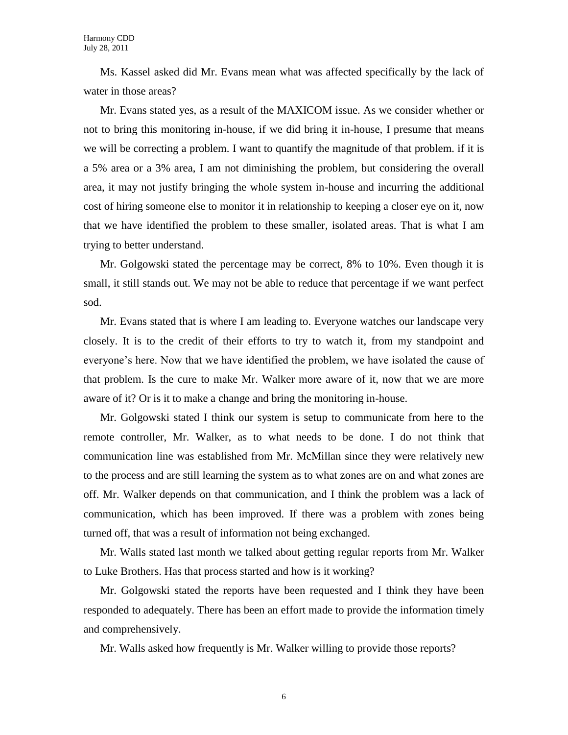Ms. Kassel asked did Mr. Evans mean what was affected specifically by the lack of water in those areas?

Mr. Evans stated yes, as a result of the MAXICOM issue. As we consider whether or not to bring this monitoring in-house, if we did bring it in-house, I presume that means we will be correcting a problem. I want to quantify the magnitude of that problem. if it is a 5% area or a 3% area, I am not diminishing the problem, but considering the overall area, it may not justify bringing the whole system in-house and incurring the additional cost of hiring someone else to monitor it in relationship to keeping a closer eye on it, now that we have identified the problem to these smaller, isolated areas. That is what I am trying to better understand.

Mr. Golgowski stated the percentage may be correct, 8% to 10%. Even though it is small, it still stands out. We may not be able to reduce that percentage if we want perfect sod.

Mr. Evans stated that is where I am leading to. Everyone watches our landscape very closely. It is to the credit of their efforts to try to watch it, from my standpoint and everyone's here. Now that we have identified the problem, we have isolated the cause of that problem. Is the cure to make Mr. Walker more aware of it, now that we are more aware of it? Or is it to make a change and bring the monitoring in-house.

Mr. Golgowski stated I think our system is setup to communicate from here to the remote controller, Mr. Walker, as to what needs to be done. I do not think that communication line was established from Mr. McMillan since they were relatively new to the process and are still learning the system as to what zones are on and what zones are off. Mr. Walker depends on that communication, and I think the problem was a lack of communication, which has been improved. If there was a problem with zones being turned off, that was a result of information not being exchanged.

Mr. Walls stated last month we talked about getting regular reports from Mr. Walker to Luke Brothers. Has that process started and how is it working?

Mr. Golgowski stated the reports have been requested and I think they have been responded to adequately. There has been an effort made to provide the information timely and comprehensively.

Mr. Walls asked how frequently is Mr. Walker willing to provide those reports?

6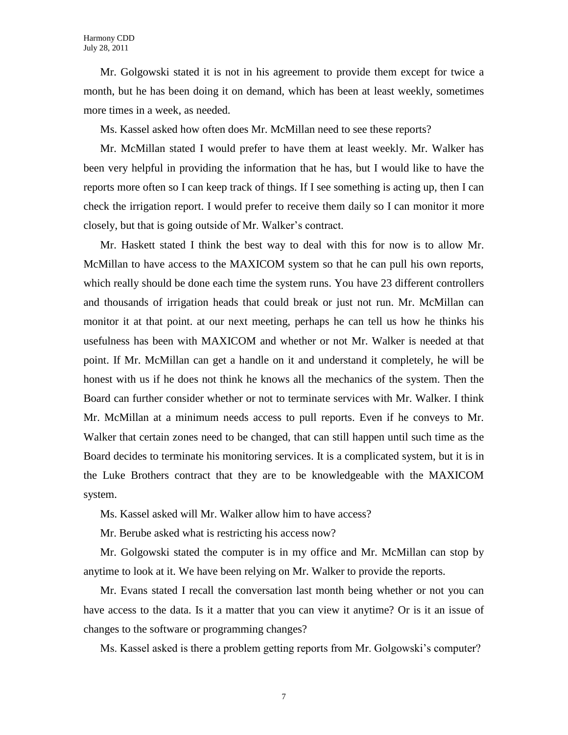Mr. Golgowski stated it is not in his agreement to provide them except for twice a month, but he has been doing it on demand, which has been at least weekly, sometimes more times in a week, as needed.

Ms. Kassel asked how often does Mr. McMillan need to see these reports?

Mr. McMillan stated I would prefer to have them at least weekly. Mr. Walker has been very helpful in providing the information that he has, but I would like to have the reports more often so I can keep track of things. If I see something is acting up, then I can check the irrigation report. I would prefer to receive them daily so I can monitor it more closely, but that is going outside of Mr. Walker's contract.

Mr. Haskett stated I think the best way to deal with this for now is to allow Mr. McMillan to have access to the MAXICOM system so that he can pull his own reports, which really should be done each time the system runs. You have 23 different controllers and thousands of irrigation heads that could break or just not run. Mr. McMillan can monitor it at that point. at our next meeting, perhaps he can tell us how he thinks his usefulness has been with MAXICOM and whether or not Mr. Walker is needed at that point. If Mr. McMillan can get a handle on it and understand it completely, he will be honest with us if he does not think he knows all the mechanics of the system. Then the Board can further consider whether or not to terminate services with Mr. Walker. I think Mr. McMillan at a minimum needs access to pull reports. Even if he conveys to Mr. Walker that certain zones need to be changed, that can still happen until such time as the Board decides to terminate his monitoring services. It is a complicated system, but it is in the Luke Brothers contract that they are to be knowledgeable with the MAXICOM system.

Ms. Kassel asked will Mr. Walker allow him to have access?

Mr. Berube asked what is restricting his access now?

Mr. Golgowski stated the computer is in my office and Mr. McMillan can stop by anytime to look at it. We have been relying on Mr. Walker to provide the reports.

Mr. Evans stated I recall the conversation last month being whether or not you can have access to the data. Is it a matter that you can view it anytime? Or is it an issue of changes to the software or programming changes?

Ms. Kassel asked is there a problem getting reports from Mr. Golgowski's computer?

7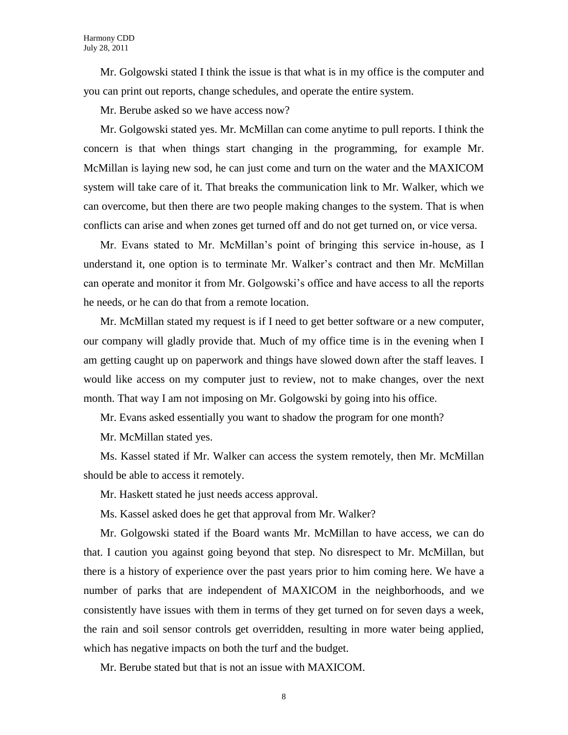Mr. Golgowski stated I think the issue is that what is in my office is the computer and you can print out reports, change schedules, and operate the entire system.

Mr. Berube asked so we have access now?

Mr. Golgowski stated yes. Mr. McMillan can come anytime to pull reports. I think the concern is that when things start changing in the programming, for example Mr. McMillan is laying new sod, he can just come and turn on the water and the MAXICOM system will take care of it. That breaks the communication link to Mr. Walker, which we can overcome, but then there are two people making changes to the system. That is when conflicts can arise and when zones get turned off and do not get turned on, or vice versa.

Mr. Evans stated to Mr. McMillan's point of bringing this service in-house, as I understand it, one option is to terminate Mr. Walker's contract and then Mr. McMillan can operate and monitor it from Mr. Golgowski's office and have access to all the reports he needs, or he can do that from a remote location.

Mr. McMillan stated my request is if I need to get better software or a new computer, our company will gladly provide that. Much of my office time is in the evening when I am getting caught up on paperwork and things have slowed down after the staff leaves. I would like access on my computer just to review, not to make changes, over the next month. That way I am not imposing on Mr. Golgowski by going into his office.

Mr. Evans asked essentially you want to shadow the program for one month?

Mr. McMillan stated yes.

Ms. Kassel stated if Mr. Walker can access the system remotely, then Mr. McMillan should be able to access it remotely.

Mr. Haskett stated he just needs access approval.

Ms. Kassel asked does he get that approval from Mr. Walker?

Mr. Golgowski stated if the Board wants Mr. McMillan to have access, we can do that. I caution you against going beyond that step. No disrespect to Mr. McMillan, but there is a history of experience over the past years prior to him coming here. We have a number of parks that are independent of MAXICOM in the neighborhoods, and we consistently have issues with them in terms of they get turned on for seven days a week, the rain and soil sensor controls get overridden, resulting in more water being applied, which has negative impacts on both the turf and the budget.

Mr. Berube stated but that is not an issue with MAXICOM.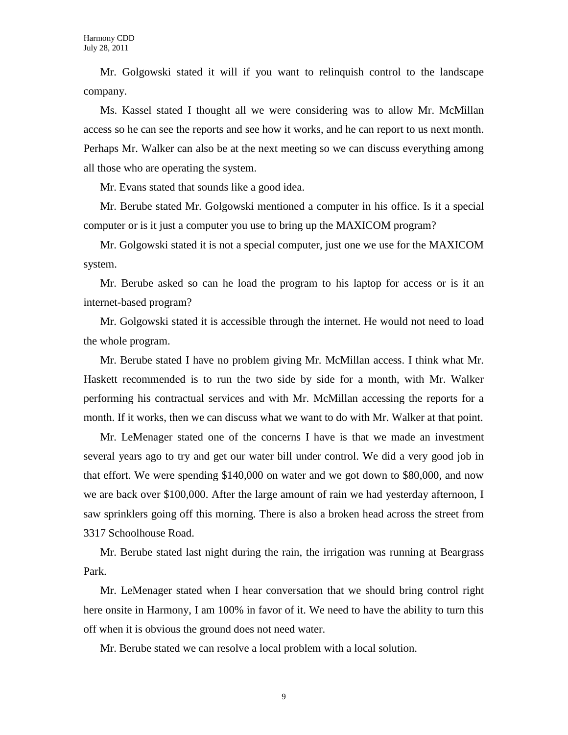Mr. Golgowski stated it will if you want to relinquish control to the landscape company.

Ms. Kassel stated I thought all we were considering was to allow Mr. McMillan access so he can see the reports and see how it works, and he can report to us next month. Perhaps Mr. Walker can also be at the next meeting so we can discuss everything among all those who are operating the system.

Mr. Evans stated that sounds like a good idea.

Mr. Berube stated Mr. Golgowski mentioned a computer in his office. Is it a special computer or is it just a computer you use to bring up the MAXICOM program?

Mr. Golgowski stated it is not a special computer, just one we use for the MAXICOM system.

Mr. Berube asked so can he load the program to his laptop for access or is it an internet-based program?

Mr. Golgowski stated it is accessible through the internet. He would not need to load the whole program.

Mr. Berube stated I have no problem giving Mr. McMillan access. I think what Mr. Haskett recommended is to run the two side by side for a month, with Mr. Walker performing his contractual services and with Mr. McMillan accessing the reports for a month. If it works, then we can discuss what we want to do with Mr. Walker at that point.

Mr. LeMenager stated one of the concerns I have is that we made an investment several years ago to try and get our water bill under control. We did a very good job in that effort. We were spending \$140,000 on water and we got down to \$80,000, and now we are back over \$100,000. After the large amount of rain we had yesterday afternoon, I saw sprinklers going off this morning. There is also a broken head across the street from 3317 Schoolhouse Road.

Mr. Berube stated last night during the rain, the irrigation was running at Beargrass Park.

Mr. LeMenager stated when I hear conversation that we should bring control right here onsite in Harmony, I am 100% in favor of it. We need to have the ability to turn this off when it is obvious the ground does not need water.

Mr. Berube stated we can resolve a local problem with a local solution.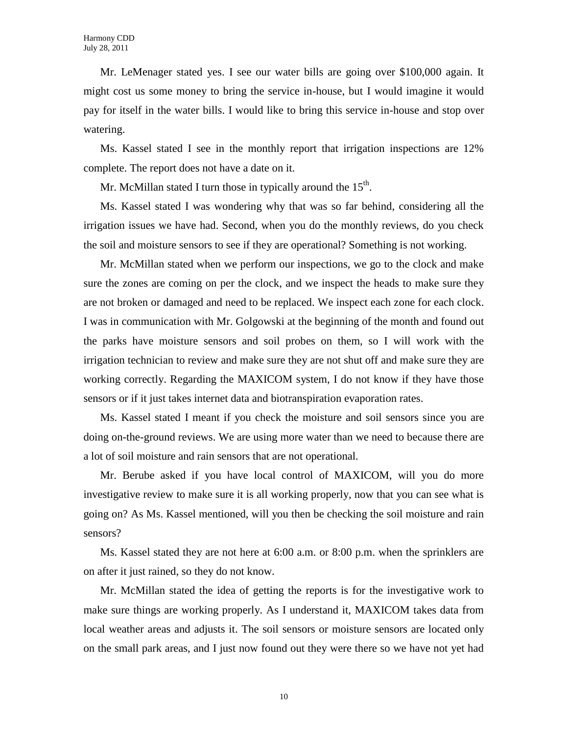Mr. LeMenager stated yes. I see our water bills are going over \$100,000 again. It might cost us some money to bring the service in-house, but I would imagine it would pay for itself in the water bills. I would like to bring this service in-house and stop over watering.

Ms. Kassel stated I see in the monthly report that irrigation inspections are 12% complete. The report does not have a date on it.

Mr. McMillan stated I turn those in typically around the  $15<sup>th</sup>$ .

Ms. Kassel stated I was wondering why that was so far behind, considering all the irrigation issues we have had. Second, when you do the monthly reviews, do you check the soil and moisture sensors to see if they are operational? Something is not working.

Mr. McMillan stated when we perform our inspections, we go to the clock and make sure the zones are coming on per the clock, and we inspect the heads to make sure they are not broken or damaged and need to be replaced. We inspect each zone for each clock. I was in communication with Mr. Golgowski at the beginning of the month and found out the parks have moisture sensors and soil probes on them, so I will work with the irrigation technician to review and make sure they are not shut off and make sure they are working correctly. Regarding the MAXICOM system, I do not know if they have those sensors or if it just takes internet data and biotranspiration evaporation rates.

Ms. Kassel stated I meant if you check the moisture and soil sensors since you are doing on-the-ground reviews. We are using more water than we need to because there are a lot of soil moisture and rain sensors that are not operational.

Mr. Berube asked if you have local control of MAXICOM, will you do more investigative review to make sure it is all working properly, now that you can see what is going on? As Ms. Kassel mentioned, will you then be checking the soil moisture and rain sensors?

Ms. Kassel stated they are not here at 6:00 a.m. or 8:00 p.m. when the sprinklers are on after it just rained, so they do not know.

Mr. McMillan stated the idea of getting the reports is for the investigative work to make sure things are working properly. As I understand it, MAXICOM takes data from local weather areas and adjusts it. The soil sensors or moisture sensors are located only on the small park areas, and I just now found out they were there so we have not yet had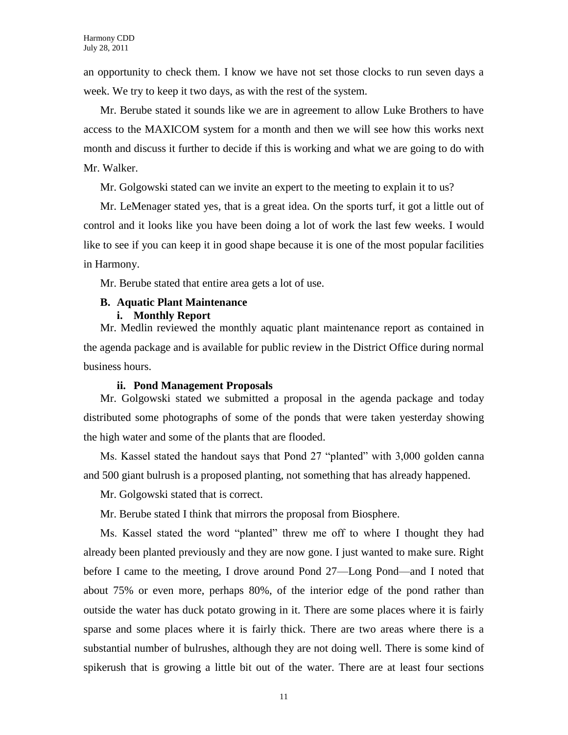an opportunity to check them. I know we have not set those clocks to run seven days a week. We try to keep it two days, as with the rest of the system.

Mr. Berube stated it sounds like we are in agreement to allow Luke Brothers to have access to the MAXICOM system for a month and then we will see how this works next month and discuss it further to decide if this is working and what we are going to do with Mr. Walker.

Mr. Golgowski stated can we invite an expert to the meeting to explain it to us?

Mr. LeMenager stated yes, that is a great idea. On the sports turf, it got a little out of control and it looks like you have been doing a lot of work the last few weeks. I would like to see if you can keep it in good shape because it is one of the most popular facilities in Harmony.

Mr. Berube stated that entire area gets a lot of use.

## **B. Aquatic Plant Maintenance**

## **i. Monthly Report**

Mr. Medlin reviewed the monthly aquatic plant maintenance report as contained in the agenda package and is available for public review in the District Office during normal business hours.

### **ii. Pond Management Proposals**

Mr. Golgowski stated we submitted a proposal in the agenda package and today distributed some photographs of some of the ponds that were taken yesterday showing the high water and some of the plants that are flooded.

Ms. Kassel stated the handout says that Pond 27 "planted" with 3,000 golden canna and 500 giant bulrush is a proposed planting, not something that has already happened.

Mr. Golgowski stated that is correct.

Mr. Berube stated I think that mirrors the proposal from Biosphere.

Ms. Kassel stated the word "planted" threw me off to where I thought they had already been planted previously and they are now gone. I just wanted to make sure. Right before I came to the meeting, I drove around Pond 27—Long Pond—and I noted that about 75% or even more, perhaps 80%, of the interior edge of the pond rather than outside the water has duck potato growing in it. There are some places where it is fairly sparse and some places where it is fairly thick. There are two areas where there is a substantial number of bulrushes, although they are not doing well. There is some kind of spikerush that is growing a little bit out of the water. There are at least four sections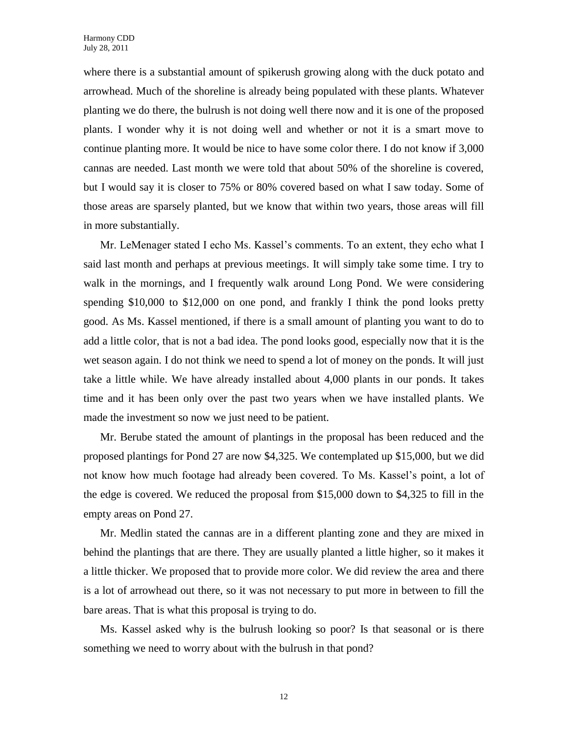where there is a substantial amount of spikerush growing along with the duck potato and arrowhead. Much of the shoreline is already being populated with these plants. Whatever planting we do there, the bulrush is not doing well there now and it is one of the proposed plants. I wonder why it is not doing well and whether or not it is a smart move to continue planting more. It would be nice to have some color there. I do not know if 3,000 cannas are needed. Last month we were told that about 50% of the shoreline is covered, but I would say it is closer to 75% or 80% covered based on what I saw today. Some of those areas are sparsely planted, but we know that within two years, those areas will fill in more substantially.

Mr. LeMenager stated I echo Ms. Kassel's comments. To an extent, they echo what I said last month and perhaps at previous meetings. It will simply take some time. I try to walk in the mornings, and I frequently walk around Long Pond. We were considering spending \$10,000 to \$12,000 on one pond, and frankly I think the pond looks pretty good. As Ms. Kassel mentioned, if there is a small amount of planting you want to do to add a little color, that is not a bad idea. The pond looks good, especially now that it is the wet season again. I do not think we need to spend a lot of money on the ponds. It will just take a little while. We have already installed about 4,000 plants in our ponds. It takes time and it has been only over the past two years when we have installed plants. We made the investment so now we just need to be patient.

Mr. Berube stated the amount of plantings in the proposal has been reduced and the proposed plantings for Pond 27 are now \$4,325. We contemplated up \$15,000, but we did not know how much footage had already been covered. To Ms. Kassel's point, a lot of the edge is covered. We reduced the proposal from \$15,000 down to \$4,325 to fill in the empty areas on Pond 27.

Mr. Medlin stated the cannas are in a different planting zone and they are mixed in behind the plantings that are there. They are usually planted a little higher, so it makes it a little thicker. We proposed that to provide more color. We did review the area and there is a lot of arrowhead out there, so it was not necessary to put more in between to fill the bare areas. That is what this proposal is trying to do.

Ms. Kassel asked why is the bulrush looking so poor? Is that seasonal or is there something we need to worry about with the bulrush in that pond?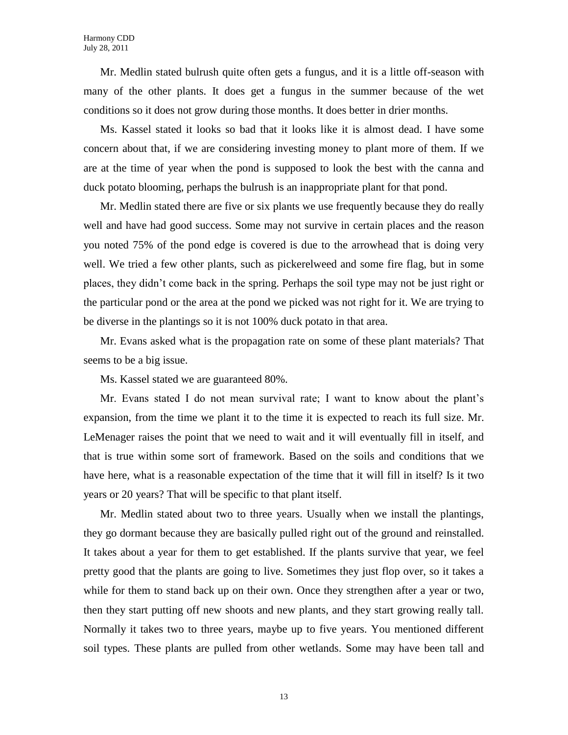Mr. Medlin stated bulrush quite often gets a fungus, and it is a little off-season with many of the other plants. It does get a fungus in the summer because of the wet conditions so it does not grow during those months. It does better in drier months.

Ms. Kassel stated it looks so bad that it looks like it is almost dead. I have some concern about that, if we are considering investing money to plant more of them. If we are at the time of year when the pond is supposed to look the best with the canna and duck potato blooming, perhaps the bulrush is an inappropriate plant for that pond.

Mr. Medlin stated there are five or six plants we use frequently because they do really well and have had good success. Some may not survive in certain places and the reason you noted 75% of the pond edge is covered is due to the arrowhead that is doing very well. We tried a few other plants, such as pickerelweed and some fire flag, but in some places, they didn't come back in the spring. Perhaps the soil type may not be just right or the particular pond or the area at the pond we picked was not right for it. We are trying to be diverse in the plantings so it is not 100% duck potato in that area.

Mr. Evans asked what is the propagation rate on some of these plant materials? That seems to be a big issue.

Ms. Kassel stated we are guaranteed 80%.

Mr. Evans stated I do not mean survival rate; I want to know about the plant's expansion, from the time we plant it to the time it is expected to reach its full size. Mr. LeMenager raises the point that we need to wait and it will eventually fill in itself, and that is true within some sort of framework. Based on the soils and conditions that we have here, what is a reasonable expectation of the time that it will fill in itself? Is it two years or 20 years? That will be specific to that plant itself.

Mr. Medlin stated about two to three years. Usually when we install the plantings, they go dormant because they are basically pulled right out of the ground and reinstalled. It takes about a year for them to get established. If the plants survive that year, we feel pretty good that the plants are going to live. Sometimes they just flop over, so it takes a while for them to stand back up on their own. Once they strengthen after a year or two, then they start putting off new shoots and new plants, and they start growing really tall. Normally it takes two to three years, maybe up to five years. You mentioned different soil types. These plants are pulled from other wetlands. Some may have been tall and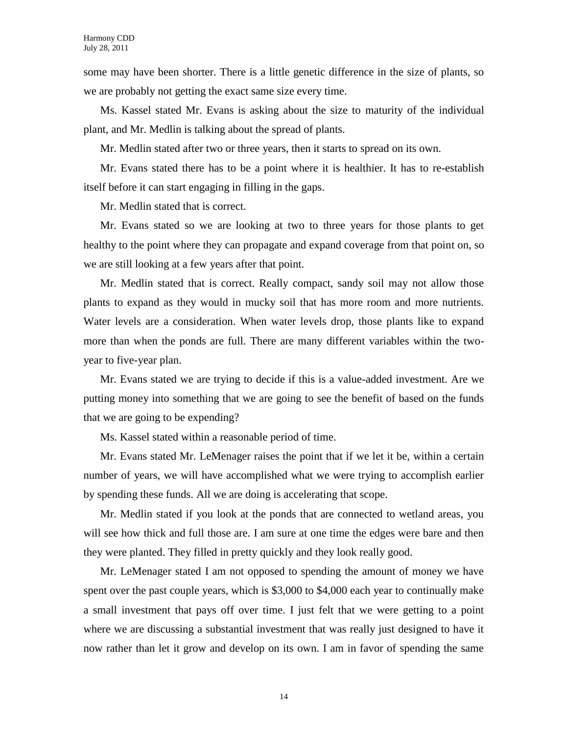some may have been shorter. There is a little genetic difference in the size of plants, so we are probably not getting the exact same size every time.

Ms. Kassel stated Mr. Evans is asking about the size to maturity of the individual plant, and Mr. Medlin is talking about the spread of plants.

Mr. Medlin stated after two or three years, then it starts to spread on its own.

Mr. Evans stated there has to be a point where it is healthier. It has to re-establish itself before it can start engaging in filling in the gaps.

Mr. Medlin stated that is correct.

Mr. Evans stated so we are looking at two to three years for those plants to get healthy to the point where they can propagate and expand coverage from that point on, so we are still looking at a few years after that point.

Mr. Medlin stated that is correct. Really compact, sandy soil may not allow those plants to expand as they would in mucky soil that has more room and more nutrients. Water levels are a consideration. When water levels drop, those plants like to expand more than when the ponds are full. There are many different variables within the twoyear to five-year plan.

Mr. Evans stated we are trying to decide if this is a value-added investment. Are we putting money into something that we are going to see the benefit of based on the funds that we are going to be expending?

Ms. Kassel stated within a reasonable period of time.

Mr. Evans stated Mr. LeMenager raises the point that if we let it be, within a certain number of years, we will have accomplished what we were trying to accomplish earlier by spending these funds. All we are doing is accelerating that scope.

Mr. Medlin stated if you look at the ponds that are connected to wetland areas, you will see how thick and full those are. I am sure at one time the edges were bare and then they were planted. They filled in pretty quickly and they look really good.

Mr. LeMenager stated I am not opposed to spending the amount of money we have spent over the past couple years, which is \$3,000 to \$4,000 each year to continually make a small investment that pays off over time. I just felt that we were getting to a point where we are discussing a substantial investment that was really just designed to have it now rather than let it grow and develop on its own. I am in favor of spending the same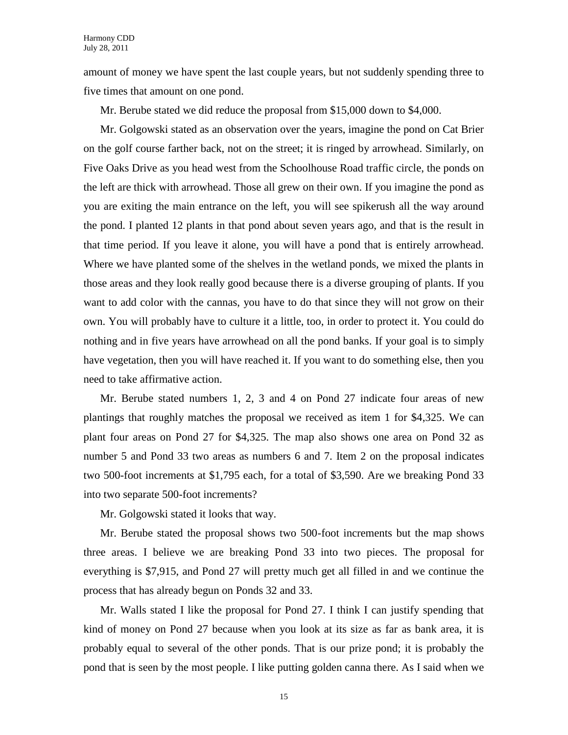amount of money we have spent the last couple years, but not suddenly spending three to five times that amount on one pond.

Mr. Berube stated we did reduce the proposal from \$15,000 down to \$4,000.

Mr. Golgowski stated as an observation over the years, imagine the pond on Cat Brier on the golf course farther back, not on the street; it is ringed by arrowhead. Similarly, on Five Oaks Drive as you head west from the Schoolhouse Road traffic circle, the ponds on the left are thick with arrowhead. Those all grew on their own. If you imagine the pond as you are exiting the main entrance on the left, you will see spikerush all the way around the pond. I planted 12 plants in that pond about seven years ago, and that is the result in that time period. If you leave it alone, you will have a pond that is entirely arrowhead. Where we have planted some of the shelves in the wetland ponds, we mixed the plants in those areas and they look really good because there is a diverse grouping of plants. If you want to add color with the cannas, you have to do that since they will not grow on their own. You will probably have to culture it a little, too, in order to protect it. You could do nothing and in five years have arrowhead on all the pond banks. If your goal is to simply have vegetation, then you will have reached it. If you want to do something else, then you need to take affirmative action.

Mr. Berube stated numbers 1, 2, 3 and 4 on Pond 27 indicate four areas of new plantings that roughly matches the proposal we received as item 1 for \$4,325. We can plant four areas on Pond 27 for \$4,325. The map also shows one area on Pond 32 as number 5 and Pond 33 two areas as numbers 6 and 7. Item 2 on the proposal indicates two 500-foot increments at \$1,795 each, for a total of \$3,590. Are we breaking Pond 33 into two separate 500-foot increments?

Mr. Golgowski stated it looks that way.

Mr. Berube stated the proposal shows two 500-foot increments but the map shows three areas. I believe we are breaking Pond 33 into two pieces. The proposal for everything is \$7,915, and Pond 27 will pretty much get all filled in and we continue the process that has already begun on Ponds 32 and 33.

Mr. Walls stated I like the proposal for Pond 27. I think I can justify spending that kind of money on Pond 27 because when you look at its size as far as bank area, it is probably equal to several of the other ponds. That is our prize pond; it is probably the pond that is seen by the most people. I like putting golden canna there. As I said when we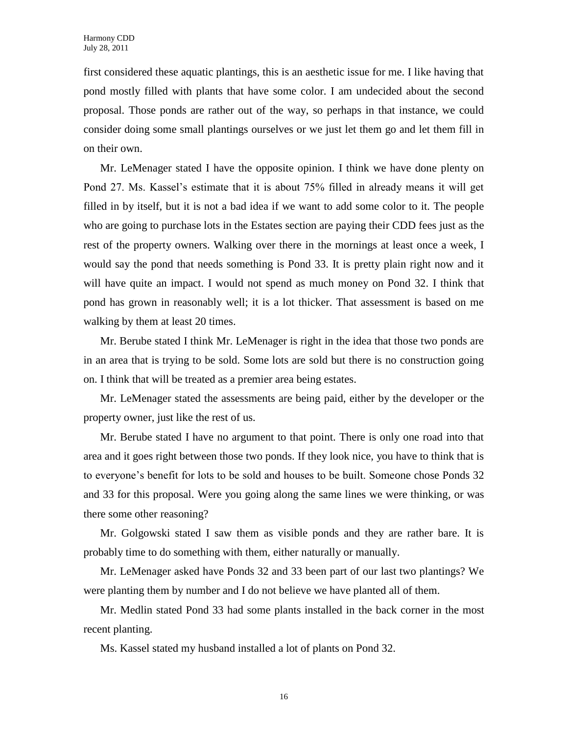first considered these aquatic plantings, this is an aesthetic issue for me. I like having that pond mostly filled with plants that have some color. I am undecided about the second proposal. Those ponds are rather out of the way, so perhaps in that instance, we could consider doing some small plantings ourselves or we just let them go and let them fill in on their own.

Mr. LeMenager stated I have the opposite opinion. I think we have done plenty on Pond 27. Ms. Kassel's estimate that it is about 75% filled in already means it will get filled in by itself, but it is not a bad idea if we want to add some color to it. The people who are going to purchase lots in the Estates section are paying their CDD fees just as the rest of the property owners. Walking over there in the mornings at least once a week, I would say the pond that needs something is Pond 33. It is pretty plain right now and it will have quite an impact. I would not spend as much money on Pond 32. I think that pond has grown in reasonably well; it is a lot thicker. That assessment is based on me walking by them at least 20 times.

Mr. Berube stated I think Mr. LeMenager is right in the idea that those two ponds are in an area that is trying to be sold. Some lots are sold but there is no construction going on. I think that will be treated as a premier area being estates.

Mr. LeMenager stated the assessments are being paid, either by the developer or the property owner, just like the rest of us.

Mr. Berube stated I have no argument to that point. There is only one road into that area and it goes right between those two ponds. If they look nice, you have to think that is to everyone's benefit for lots to be sold and houses to be built. Someone chose Ponds 32 and 33 for this proposal. Were you going along the same lines we were thinking, or was there some other reasoning?

Mr. Golgowski stated I saw them as visible ponds and they are rather bare. It is probably time to do something with them, either naturally or manually.

Mr. LeMenager asked have Ponds 32 and 33 been part of our last two plantings? We were planting them by number and I do not believe we have planted all of them.

Mr. Medlin stated Pond 33 had some plants installed in the back corner in the most recent planting.

Ms. Kassel stated my husband installed a lot of plants on Pond 32.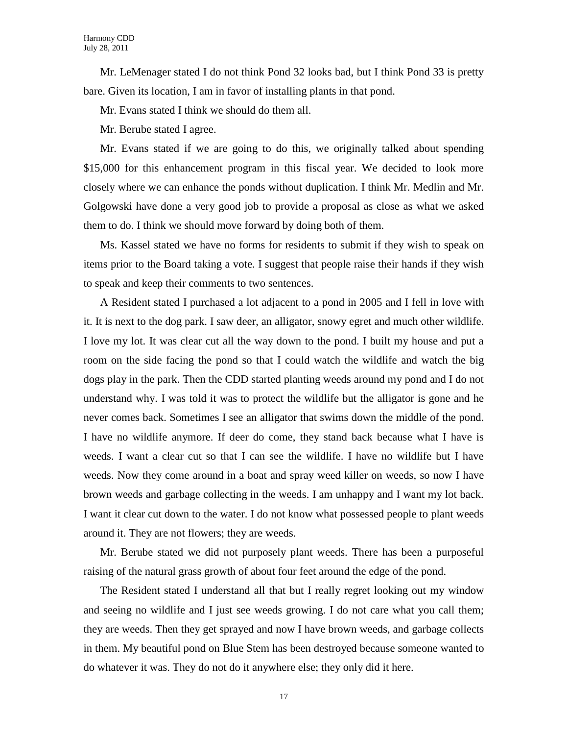Mr. LeMenager stated I do not think Pond 32 looks bad, but I think Pond 33 is pretty bare. Given its location, I am in favor of installing plants in that pond.

Mr. Evans stated I think we should do them all.

Mr. Berube stated I agree.

Mr. Evans stated if we are going to do this, we originally talked about spending \$15,000 for this enhancement program in this fiscal year. We decided to look more closely where we can enhance the ponds without duplication. I think Mr. Medlin and Mr. Golgowski have done a very good job to provide a proposal as close as what we asked them to do. I think we should move forward by doing both of them.

Ms. Kassel stated we have no forms for residents to submit if they wish to speak on items prior to the Board taking a vote. I suggest that people raise their hands if they wish to speak and keep their comments to two sentences.

A Resident stated I purchased a lot adjacent to a pond in 2005 and I fell in love with it. It is next to the dog park. I saw deer, an alligator, snowy egret and much other wildlife. I love my lot. It was clear cut all the way down to the pond. I built my house and put a room on the side facing the pond so that I could watch the wildlife and watch the big dogs play in the park. Then the CDD started planting weeds around my pond and I do not understand why. I was told it was to protect the wildlife but the alligator is gone and he never comes back. Sometimes I see an alligator that swims down the middle of the pond. I have no wildlife anymore. If deer do come, they stand back because what I have is weeds. I want a clear cut so that I can see the wildlife. I have no wildlife but I have weeds. Now they come around in a boat and spray weed killer on weeds, so now I have brown weeds and garbage collecting in the weeds. I am unhappy and I want my lot back. I want it clear cut down to the water. I do not know what possessed people to plant weeds around it. They are not flowers; they are weeds.

Mr. Berube stated we did not purposely plant weeds. There has been a purposeful raising of the natural grass growth of about four feet around the edge of the pond.

The Resident stated I understand all that but I really regret looking out my window and seeing no wildlife and I just see weeds growing. I do not care what you call them; they are weeds. Then they get sprayed and now I have brown weeds, and garbage collects in them. My beautiful pond on Blue Stem has been destroyed because someone wanted to do whatever it was. They do not do it anywhere else; they only did it here.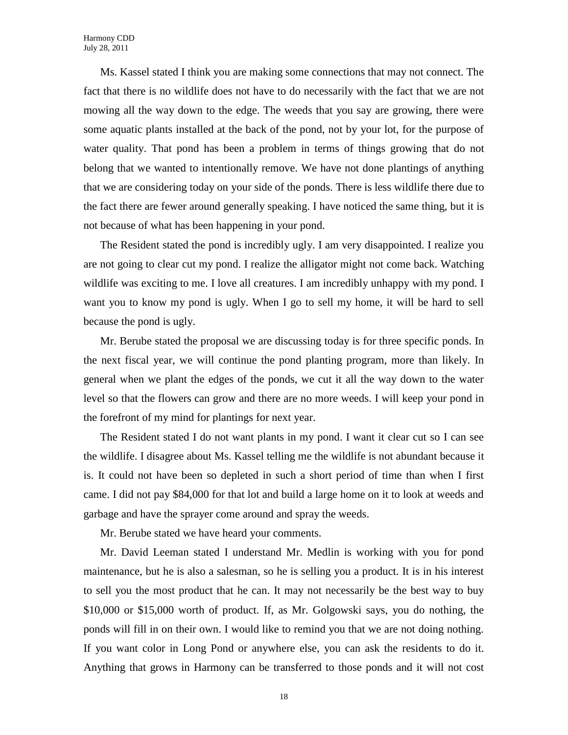Ms. Kassel stated I think you are making some connections that may not connect. The fact that there is no wildlife does not have to do necessarily with the fact that we are not mowing all the way down to the edge. The weeds that you say are growing, there were some aquatic plants installed at the back of the pond, not by your lot, for the purpose of water quality. That pond has been a problem in terms of things growing that do not belong that we wanted to intentionally remove. We have not done plantings of anything that we are considering today on your side of the ponds. There is less wildlife there due to the fact there are fewer around generally speaking. I have noticed the same thing, but it is not because of what has been happening in your pond.

The Resident stated the pond is incredibly ugly. I am very disappointed. I realize you are not going to clear cut my pond. I realize the alligator might not come back. Watching wildlife was exciting to me. I love all creatures. I am incredibly unhappy with my pond. I want you to know my pond is ugly. When I go to sell my home, it will be hard to sell because the pond is ugly.

Mr. Berube stated the proposal we are discussing today is for three specific ponds. In the next fiscal year, we will continue the pond planting program, more than likely. In general when we plant the edges of the ponds, we cut it all the way down to the water level so that the flowers can grow and there are no more weeds. I will keep your pond in the forefront of my mind for plantings for next year.

The Resident stated I do not want plants in my pond. I want it clear cut so I can see the wildlife. I disagree about Ms. Kassel telling me the wildlife is not abundant because it is. It could not have been so depleted in such a short period of time than when I first came. I did not pay \$84,000 for that lot and build a large home on it to look at weeds and garbage and have the sprayer come around and spray the weeds.

Mr. Berube stated we have heard your comments.

Mr. David Leeman stated I understand Mr. Medlin is working with you for pond maintenance, but he is also a salesman, so he is selling you a product. It is in his interest to sell you the most product that he can. It may not necessarily be the best way to buy \$10,000 or \$15,000 worth of product. If, as Mr. Golgowski says, you do nothing, the ponds will fill in on their own. I would like to remind you that we are not doing nothing. If you want color in Long Pond or anywhere else, you can ask the residents to do it. Anything that grows in Harmony can be transferred to those ponds and it will not cost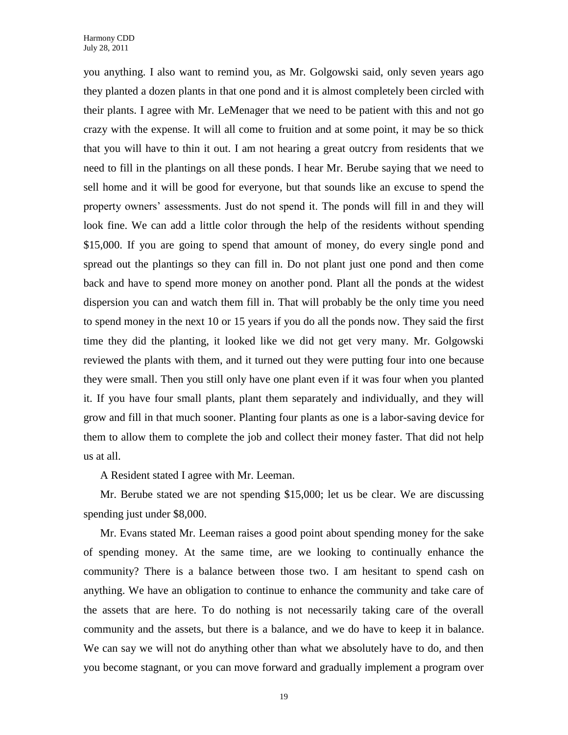you anything. I also want to remind you, as Mr. Golgowski said, only seven years ago they planted a dozen plants in that one pond and it is almost completely been circled with their plants. I agree with Mr. LeMenager that we need to be patient with this and not go crazy with the expense. It will all come to fruition and at some point, it may be so thick that you will have to thin it out. I am not hearing a great outcry from residents that we need to fill in the plantings on all these ponds. I hear Mr. Berube saying that we need to sell home and it will be good for everyone, but that sounds like an excuse to spend the property owners' assessments. Just do not spend it. The ponds will fill in and they will look fine. We can add a little color through the help of the residents without spending \$15,000. If you are going to spend that amount of money, do every single pond and spread out the plantings so they can fill in. Do not plant just one pond and then come back and have to spend more money on another pond. Plant all the ponds at the widest dispersion you can and watch them fill in. That will probably be the only time you need to spend money in the next 10 or 15 years if you do all the ponds now. They said the first time they did the planting, it looked like we did not get very many. Mr. Golgowski reviewed the plants with them, and it turned out they were putting four into one because they were small. Then you still only have one plant even if it was four when you planted it. If you have four small plants, plant them separately and individually, and they will grow and fill in that much sooner. Planting four plants as one is a labor-saving device for them to allow them to complete the job and collect their money faster. That did not help us at all.

A Resident stated I agree with Mr. Leeman.

Mr. Berube stated we are not spending \$15,000; let us be clear. We are discussing spending just under \$8,000.

Mr. Evans stated Mr. Leeman raises a good point about spending money for the sake of spending money. At the same time, are we looking to continually enhance the community? There is a balance between those two. I am hesitant to spend cash on anything. We have an obligation to continue to enhance the community and take care of the assets that are here. To do nothing is not necessarily taking care of the overall community and the assets, but there is a balance, and we do have to keep it in balance. We can say we will not do anything other than what we absolutely have to do, and then you become stagnant, or you can move forward and gradually implement a program over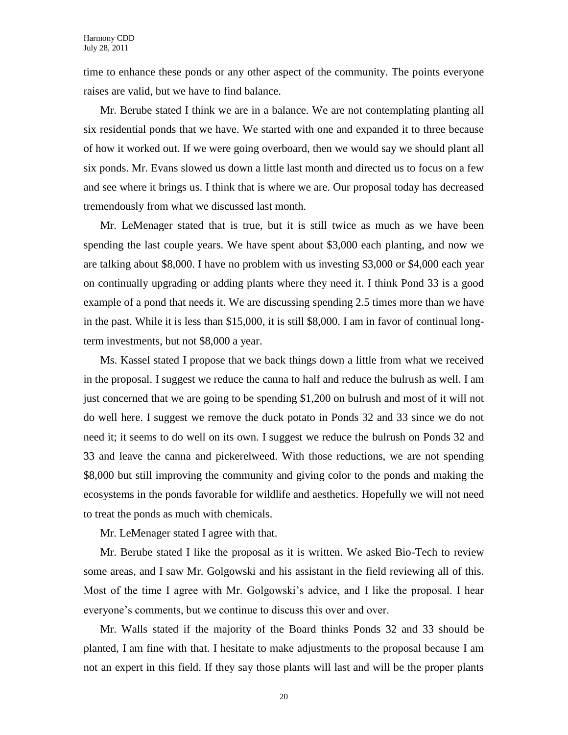time to enhance these ponds or any other aspect of the community. The points everyone raises are valid, but we have to find balance.

Mr. Berube stated I think we are in a balance. We are not contemplating planting all six residential ponds that we have. We started with one and expanded it to three because of how it worked out. If we were going overboard, then we would say we should plant all six ponds. Mr. Evans slowed us down a little last month and directed us to focus on a few and see where it brings us. I think that is where we are. Our proposal today has decreased tremendously from what we discussed last month.

Mr. LeMenager stated that is true, but it is still twice as much as we have been spending the last couple years. We have spent about \$3,000 each planting, and now we are talking about \$8,000. I have no problem with us investing \$3,000 or \$4,000 each year on continually upgrading or adding plants where they need it. I think Pond 33 is a good example of a pond that needs it. We are discussing spending 2.5 times more than we have in the past. While it is less than \$15,000, it is still \$8,000. I am in favor of continual longterm investments, but not \$8,000 a year.

Ms. Kassel stated I propose that we back things down a little from what we received in the proposal. I suggest we reduce the canna to half and reduce the bulrush as well. I am just concerned that we are going to be spending \$1,200 on bulrush and most of it will not do well here. I suggest we remove the duck potato in Ponds 32 and 33 since we do not need it; it seems to do well on its own. I suggest we reduce the bulrush on Ponds 32 and 33 and leave the canna and pickerelweed. With those reductions, we are not spending \$8,000 but still improving the community and giving color to the ponds and making the ecosystems in the ponds favorable for wildlife and aesthetics. Hopefully we will not need to treat the ponds as much with chemicals.

Mr. LeMenager stated I agree with that.

Mr. Berube stated I like the proposal as it is written. We asked Bio-Tech to review some areas, and I saw Mr. Golgowski and his assistant in the field reviewing all of this. Most of the time I agree with Mr. Golgowski's advice, and I like the proposal. I hear everyone's comments, but we continue to discuss this over and over.

Mr. Walls stated if the majority of the Board thinks Ponds 32 and 33 should be planted, I am fine with that. I hesitate to make adjustments to the proposal because I am not an expert in this field. If they say those plants will last and will be the proper plants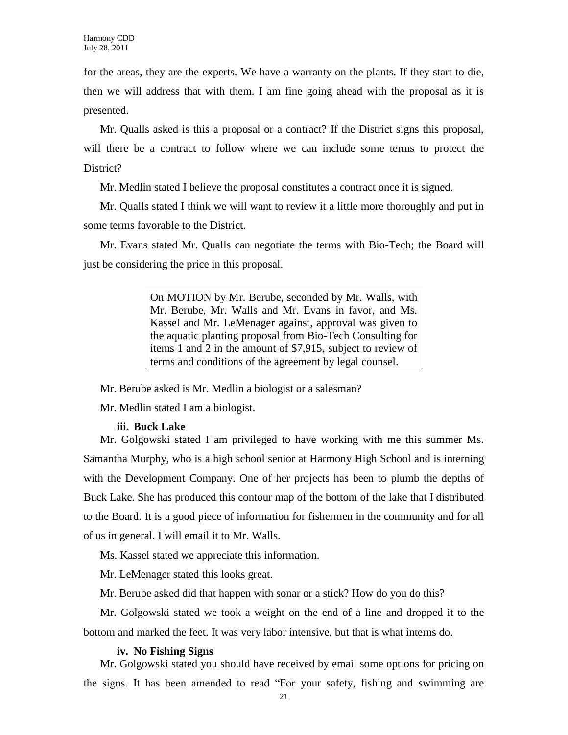for the areas, they are the experts. We have a warranty on the plants. If they start to die, then we will address that with them. I am fine going ahead with the proposal as it is presented.

Mr. Qualls asked is this a proposal or a contract? If the District signs this proposal, will there be a contract to follow where we can include some terms to protect the District?

Mr. Medlin stated I believe the proposal constitutes a contract once it is signed.

Mr. Qualls stated I think we will want to review it a little more thoroughly and put in some terms favorable to the District.

Mr. Evans stated Mr. Qualls can negotiate the terms with Bio-Tech; the Board will just be considering the price in this proposal.

> On MOTION by Mr. Berube, seconded by Mr. Walls, with Mr. Berube, Mr. Walls and Mr. Evans in favor, and Ms. Kassel and Mr. LeMenager against, approval was given to the aquatic planting proposal from Bio-Tech Consulting for items 1 and 2 in the amount of \$7,915, subject to review of terms and conditions of the agreement by legal counsel.

Mr. Berube asked is Mr. Medlin a biologist or a salesman?

Mr. Medlin stated I am a biologist.

#### **iii. Buck Lake**

Mr. Golgowski stated I am privileged to have working with me this summer Ms. Samantha Murphy, who is a high school senior at Harmony High School and is interning with the Development Company. One of her projects has been to plumb the depths of Buck Lake. She has produced this contour map of the bottom of the lake that I distributed to the Board. It is a good piece of information for fishermen in the community and for all of us in general. I will email it to Mr. Walls.

Ms. Kassel stated we appreciate this information.

Mr. LeMenager stated this looks great.

Mr. Berube asked did that happen with sonar or a stick? How do you do this?

Mr. Golgowski stated we took a weight on the end of a line and dropped it to the bottom and marked the feet. It was very labor intensive, but that is what interns do.

#### **iv. No Fishing Signs**

Mr. Golgowski stated you should have received by email some options for pricing on the signs. It has been amended to read "For your safety, fishing and swimming are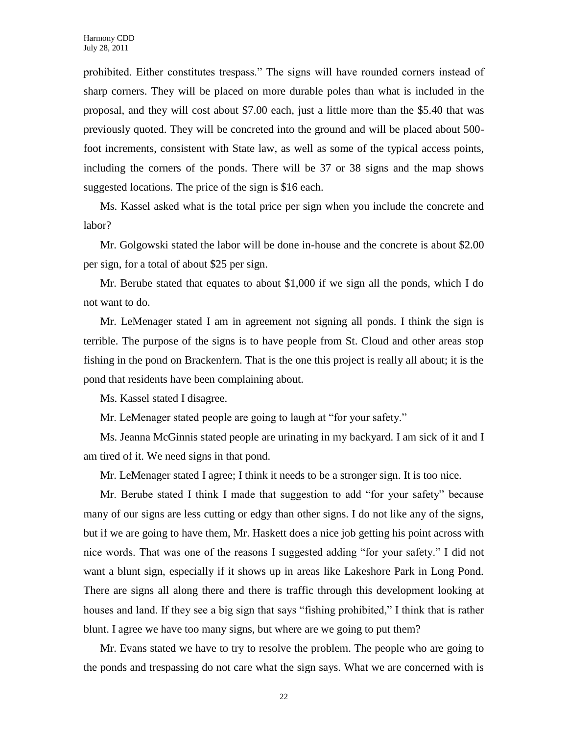prohibited. Either constitutes trespass." The signs will have rounded corners instead of sharp corners. They will be placed on more durable poles than what is included in the proposal, and they will cost about \$7.00 each, just a little more than the \$5.40 that was previously quoted. They will be concreted into the ground and will be placed about 500 foot increments, consistent with State law, as well as some of the typical access points, including the corners of the ponds. There will be 37 or 38 signs and the map shows suggested locations. The price of the sign is \$16 each.

Ms. Kassel asked what is the total price per sign when you include the concrete and labor?

Mr. Golgowski stated the labor will be done in-house and the concrete is about \$2.00 per sign, for a total of about \$25 per sign.

Mr. Berube stated that equates to about \$1,000 if we sign all the ponds, which I do not want to do.

Mr. LeMenager stated I am in agreement not signing all ponds. I think the sign is terrible. The purpose of the signs is to have people from St. Cloud and other areas stop fishing in the pond on Brackenfern. That is the one this project is really all about; it is the pond that residents have been complaining about.

Ms. Kassel stated I disagree.

Mr. LeMenager stated people are going to laugh at "for your safety."

Ms. Jeanna McGinnis stated people are urinating in my backyard. I am sick of it and I am tired of it. We need signs in that pond.

Mr. LeMenager stated I agree; I think it needs to be a stronger sign. It is too nice.

Mr. Berube stated I think I made that suggestion to add "for your safety" because many of our signs are less cutting or edgy than other signs. I do not like any of the signs, but if we are going to have them, Mr. Haskett does a nice job getting his point across with nice words. That was one of the reasons I suggested adding "for your safety." I did not want a blunt sign, especially if it shows up in areas like Lakeshore Park in Long Pond. There are signs all along there and there is traffic through this development looking at houses and land. If they see a big sign that says "fishing prohibited," I think that is rather blunt. I agree we have too many signs, but where are we going to put them?

Mr. Evans stated we have to try to resolve the problem. The people who are going to the ponds and trespassing do not care what the sign says. What we are concerned with is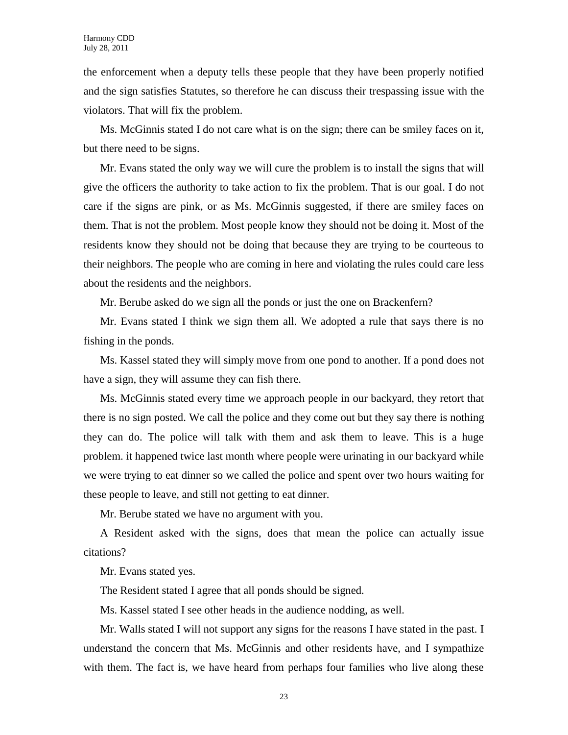the enforcement when a deputy tells these people that they have been properly notified and the sign satisfies Statutes, so therefore he can discuss their trespassing issue with the violators. That will fix the problem.

Ms. McGinnis stated I do not care what is on the sign; there can be smiley faces on it, but there need to be signs.

Mr. Evans stated the only way we will cure the problem is to install the signs that will give the officers the authority to take action to fix the problem. That is our goal. I do not care if the signs are pink, or as Ms. McGinnis suggested, if there are smiley faces on them. That is not the problem. Most people know they should not be doing it. Most of the residents know they should not be doing that because they are trying to be courteous to their neighbors. The people who are coming in here and violating the rules could care less about the residents and the neighbors.

Mr. Berube asked do we sign all the ponds or just the one on Brackenfern?

Mr. Evans stated I think we sign them all. We adopted a rule that says there is no fishing in the ponds.

Ms. Kassel stated they will simply move from one pond to another. If a pond does not have a sign, they will assume they can fish there.

Ms. McGinnis stated every time we approach people in our backyard, they retort that there is no sign posted. We call the police and they come out but they say there is nothing they can do. The police will talk with them and ask them to leave. This is a huge problem. it happened twice last month where people were urinating in our backyard while we were trying to eat dinner so we called the police and spent over two hours waiting for these people to leave, and still not getting to eat dinner.

Mr. Berube stated we have no argument with you.

A Resident asked with the signs, does that mean the police can actually issue citations?

Mr. Evans stated yes.

The Resident stated I agree that all ponds should be signed.

Ms. Kassel stated I see other heads in the audience nodding, as well.

Mr. Walls stated I will not support any signs for the reasons I have stated in the past. I understand the concern that Ms. McGinnis and other residents have, and I sympathize with them. The fact is, we have heard from perhaps four families who live along these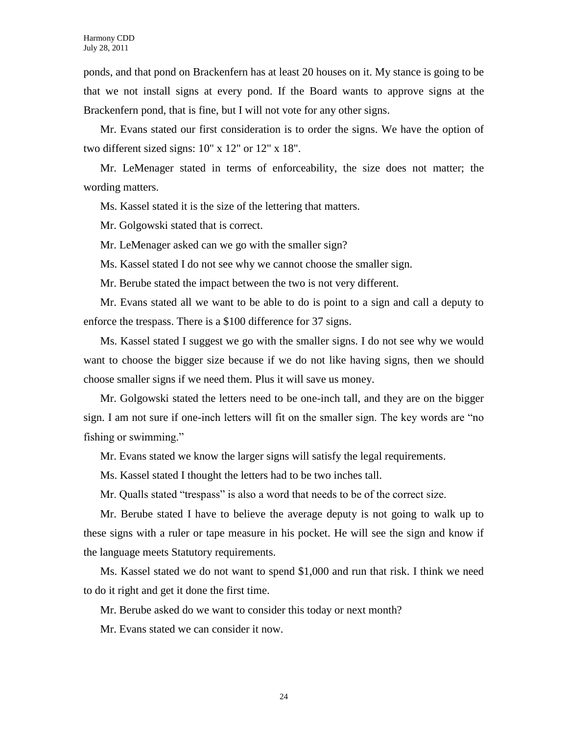ponds, and that pond on Brackenfern has at least 20 houses on it. My stance is going to be that we not install signs at every pond. If the Board wants to approve signs at the Brackenfern pond, that is fine, but I will not vote for any other signs.

Mr. Evans stated our first consideration is to order the signs. We have the option of two different sized signs: 10" x 12" or 12" x 18".

Mr. LeMenager stated in terms of enforceability, the size does not matter; the wording matters.

Ms. Kassel stated it is the size of the lettering that matters.

Mr. Golgowski stated that is correct.

Mr. LeMenager asked can we go with the smaller sign?

Ms. Kassel stated I do not see why we cannot choose the smaller sign.

Mr. Berube stated the impact between the two is not very different.

Mr. Evans stated all we want to be able to do is point to a sign and call a deputy to enforce the trespass. There is a \$100 difference for 37 signs.

Ms. Kassel stated I suggest we go with the smaller signs. I do not see why we would want to choose the bigger size because if we do not like having signs, then we should choose smaller signs if we need them. Plus it will save us money.

Mr. Golgowski stated the letters need to be one-inch tall, and they are on the bigger sign. I am not sure if one-inch letters will fit on the smaller sign. The key words are "no fishing or swimming."

Mr. Evans stated we know the larger signs will satisfy the legal requirements.

Ms. Kassel stated I thought the letters had to be two inches tall.

Mr. Qualls stated "trespass" is also a word that needs to be of the correct size.

Mr. Berube stated I have to believe the average deputy is not going to walk up to these signs with a ruler or tape measure in his pocket. He will see the sign and know if the language meets Statutory requirements.

Ms. Kassel stated we do not want to spend \$1,000 and run that risk. I think we need to do it right and get it done the first time.

Mr. Berube asked do we want to consider this today or next month?

Mr. Evans stated we can consider it now.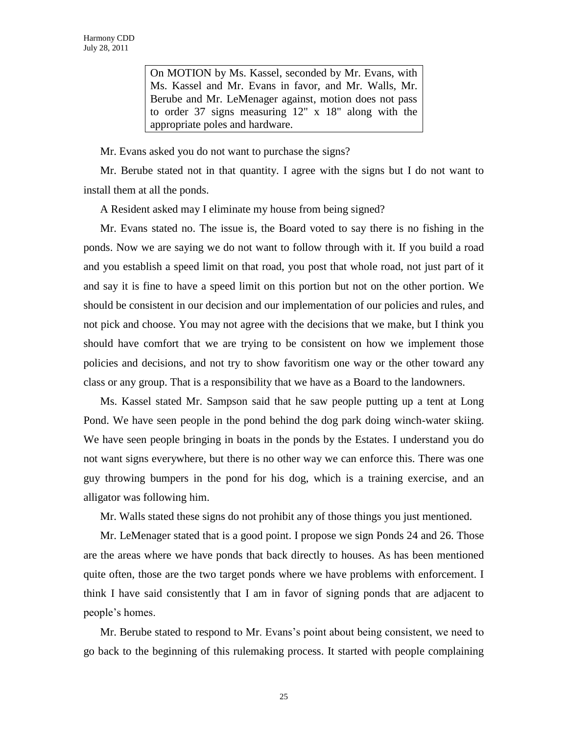On MOTION by Ms. Kassel, seconded by Mr. Evans, with Ms. Kassel and Mr. Evans in favor, and Mr. Walls, Mr. Berube and Mr. LeMenager against, motion does not pass to order 37 signs measuring 12" x 18" along with the appropriate poles and hardware.

Mr. Evans asked you do not want to purchase the signs?

Mr. Berube stated not in that quantity. I agree with the signs but I do not want to install them at all the ponds.

A Resident asked may I eliminate my house from being signed?

Mr. Evans stated no. The issue is, the Board voted to say there is no fishing in the ponds. Now we are saying we do not want to follow through with it. If you build a road and you establish a speed limit on that road, you post that whole road, not just part of it and say it is fine to have a speed limit on this portion but not on the other portion. We should be consistent in our decision and our implementation of our policies and rules, and not pick and choose. You may not agree with the decisions that we make, but I think you should have comfort that we are trying to be consistent on how we implement those policies and decisions, and not try to show favoritism one way or the other toward any class or any group. That is a responsibility that we have as a Board to the landowners.

Ms. Kassel stated Mr. Sampson said that he saw people putting up a tent at Long Pond. We have seen people in the pond behind the dog park doing winch-water skiing. We have seen people bringing in boats in the ponds by the Estates. I understand you do not want signs everywhere, but there is no other way we can enforce this. There was one guy throwing bumpers in the pond for his dog, which is a training exercise, and an alligator was following him.

Mr. Walls stated these signs do not prohibit any of those things you just mentioned.

Mr. LeMenager stated that is a good point. I propose we sign Ponds 24 and 26. Those are the areas where we have ponds that back directly to houses. As has been mentioned quite often, those are the two target ponds where we have problems with enforcement. I think I have said consistently that I am in favor of signing ponds that are adjacent to people's homes.

Mr. Berube stated to respond to Mr. Evans's point about being consistent, we need to go back to the beginning of this rulemaking process. It started with people complaining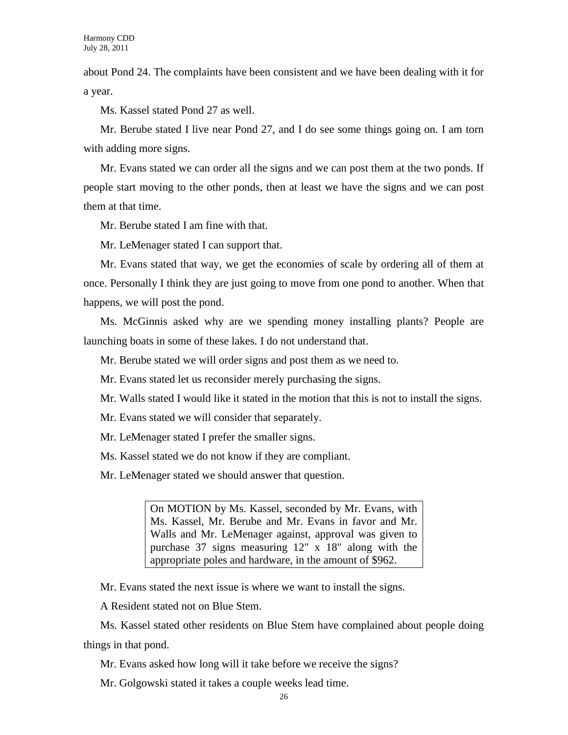about Pond 24. The complaints have been consistent and we have been dealing with it for a year.

Ms. Kassel stated Pond 27 as well.

Mr. Berube stated I live near Pond 27, and I do see some things going on. I am torn with adding more signs.

Mr. Evans stated we can order all the signs and we can post them at the two ponds. If people start moving to the other ponds, then at least we have the signs and we can post them at that time.

Mr. Berube stated I am fine with that.

Mr. LeMenager stated I can support that.

Mr. Evans stated that way, we get the economies of scale by ordering all of them at once. Personally I think they are just going to move from one pond to another. When that happens, we will post the pond.

Ms. McGinnis asked why are we spending money installing plants? People are launching boats in some of these lakes. I do not understand that.

Mr. Berube stated we will order signs and post them as we need to.

Mr. Evans stated let us reconsider merely purchasing the signs.

Mr. Walls stated I would like it stated in the motion that this is not to install the signs.

Mr. Evans stated we will consider that separately.

Mr. LeMenager stated I prefer the smaller signs.

Ms. Kassel stated we do not know if they are compliant.

Mr. LeMenager stated we should answer that question.

On MOTION by Ms. Kassel, seconded by Mr. Evans, with Ms. Kassel, Mr. Berube and Mr. Evans in favor and Mr. Walls and Mr. LeMenager against, approval was given to purchase 37 signs measuring 12" x 18" along with the appropriate poles and hardware, in the amount of \$962.

Mr. Evans stated the next issue is where we want to install the signs.

A Resident stated not on Blue Stem.

Ms. Kassel stated other residents on Blue Stem have complained about people doing things in that pond.

Mr. Evans asked how long will it take before we receive the signs?

Mr. Golgowski stated it takes a couple weeks lead time.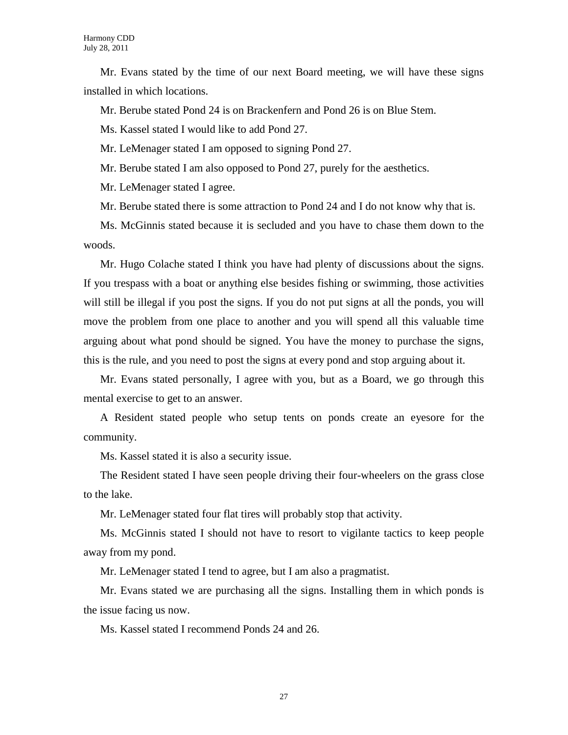Mr. Evans stated by the time of our next Board meeting, we will have these signs installed in which locations.

Mr. Berube stated Pond 24 is on Brackenfern and Pond 26 is on Blue Stem.

Ms. Kassel stated I would like to add Pond 27.

Mr. LeMenager stated I am opposed to signing Pond 27.

Mr. Berube stated I am also opposed to Pond 27, purely for the aesthetics.

Mr. LeMenager stated I agree.

Mr. Berube stated there is some attraction to Pond 24 and I do not know why that is.

Ms. McGinnis stated because it is secluded and you have to chase them down to the woods.

Mr. Hugo Colache stated I think you have had plenty of discussions about the signs. If you trespass with a boat or anything else besides fishing or swimming, those activities will still be illegal if you post the signs. If you do not put signs at all the ponds, you will move the problem from one place to another and you will spend all this valuable time arguing about what pond should be signed. You have the money to purchase the signs, this is the rule, and you need to post the signs at every pond and stop arguing about it.

Mr. Evans stated personally, I agree with you, but as a Board, we go through this mental exercise to get to an answer.

A Resident stated people who setup tents on ponds create an eyesore for the community.

Ms. Kassel stated it is also a security issue.

The Resident stated I have seen people driving their four-wheelers on the grass close to the lake.

Mr. LeMenager stated four flat tires will probably stop that activity.

Ms. McGinnis stated I should not have to resort to vigilante tactics to keep people away from my pond.

Mr. LeMenager stated I tend to agree, but I am also a pragmatist.

Mr. Evans stated we are purchasing all the signs. Installing them in which ponds is the issue facing us now.

Ms. Kassel stated I recommend Ponds 24 and 26.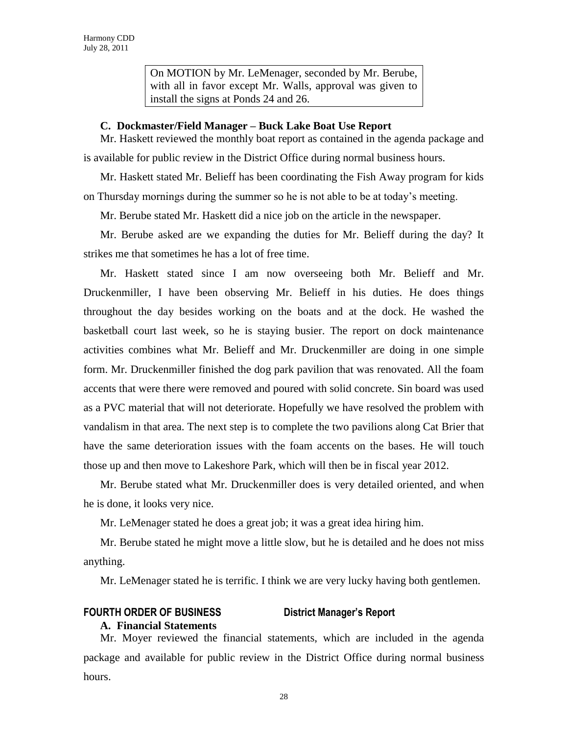On MOTION by Mr. LeMenager, seconded by Mr. Berube, with all in favor except Mr. Walls, approval was given to install the signs at Ponds 24 and 26.

### **C. Dockmaster/Field Manager – Buck Lake Boat Use Report**

Mr. Haskett reviewed the monthly boat report as contained in the agenda package and is available for public review in the District Office during normal business hours.

Mr. Haskett stated Mr. Belieff has been coordinating the Fish Away program for kids on Thursday mornings during the summer so he is not able to be at today's meeting.

Mr. Berube stated Mr. Haskett did a nice job on the article in the newspaper.

Mr. Berube asked are we expanding the duties for Mr. Belieff during the day? It strikes me that sometimes he has a lot of free time.

Mr. Haskett stated since I am now overseeing both Mr. Belieff and Mr. Druckenmiller, I have been observing Mr. Belieff in his duties. He does things throughout the day besides working on the boats and at the dock. He washed the basketball court last week, so he is staying busier. The report on dock maintenance activities combines what Mr. Belieff and Mr. Druckenmiller are doing in one simple form. Mr. Druckenmiller finished the dog park pavilion that was renovated. All the foam accents that were there were removed and poured with solid concrete. Sin board was used as a PVC material that will not deteriorate. Hopefully we have resolved the problem with vandalism in that area. The next step is to complete the two pavilions along Cat Brier that have the same deterioration issues with the foam accents on the bases. He will touch those up and then move to Lakeshore Park, which will then be in fiscal year 2012.

Mr. Berube stated what Mr. Druckenmiller does is very detailed oriented, and when he is done, it looks very nice.

Mr. LeMenager stated he does a great job; it was a great idea hiring him.

Mr. Berube stated he might move a little slow, but he is detailed and he does not miss anything.

Mr. LeMenager stated he is terrific. I think we are very lucky having both gentlemen.

## **FOURTH ORDER OF BUSINESS District Manager's Report**

**A. Financial Statements**

Mr. Moyer reviewed the financial statements, which are included in the agenda package and available for public review in the District Office during normal business hours.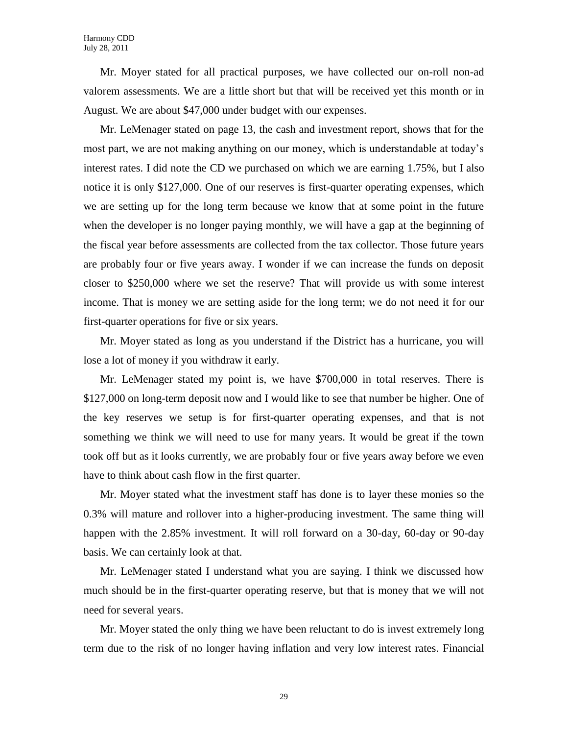Mr. Moyer stated for all practical purposes, we have collected our on-roll non-ad valorem assessments. We are a little short but that will be received yet this month or in August. We are about \$47,000 under budget with our expenses.

Mr. LeMenager stated on page 13, the cash and investment report, shows that for the most part, we are not making anything on our money, which is understandable at today's interest rates. I did note the CD we purchased on which we are earning 1.75%, but I also notice it is only \$127,000. One of our reserves is first-quarter operating expenses, which we are setting up for the long term because we know that at some point in the future when the developer is no longer paying monthly, we will have a gap at the beginning of the fiscal year before assessments are collected from the tax collector. Those future years are probably four or five years away. I wonder if we can increase the funds on deposit closer to \$250,000 where we set the reserve? That will provide us with some interest income. That is money we are setting aside for the long term; we do not need it for our first-quarter operations for five or six years.

Mr. Moyer stated as long as you understand if the District has a hurricane, you will lose a lot of money if you withdraw it early.

Mr. LeMenager stated my point is, we have \$700,000 in total reserves. There is \$127,000 on long-term deposit now and I would like to see that number be higher. One of the key reserves we setup is for first-quarter operating expenses, and that is not something we think we will need to use for many years. It would be great if the town took off but as it looks currently, we are probably four or five years away before we even have to think about cash flow in the first quarter.

Mr. Moyer stated what the investment staff has done is to layer these monies so the 0.3% will mature and rollover into a higher-producing investment. The same thing will happen with the 2.85% investment. It will roll forward on a 30-day, 60-day or 90-day basis. We can certainly look at that.

Mr. LeMenager stated I understand what you are saying. I think we discussed how much should be in the first-quarter operating reserve, but that is money that we will not need for several years.

Mr. Moyer stated the only thing we have been reluctant to do is invest extremely long term due to the risk of no longer having inflation and very low interest rates. Financial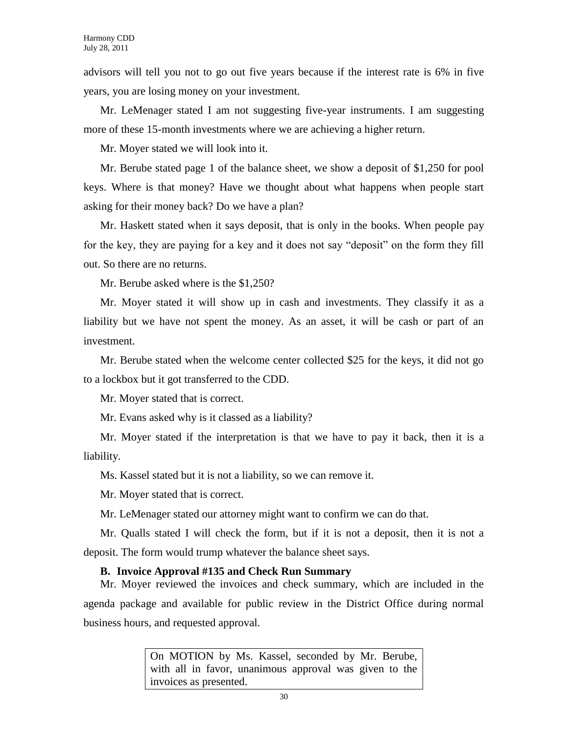advisors will tell you not to go out five years because if the interest rate is 6% in five years, you are losing money on your investment.

Mr. LeMenager stated I am not suggesting five-year instruments. I am suggesting more of these 15-month investments where we are achieving a higher return.

Mr. Moyer stated we will look into it.

Mr. Berube stated page 1 of the balance sheet, we show a deposit of \$1,250 for pool keys. Where is that money? Have we thought about what happens when people start asking for their money back? Do we have a plan?

Mr. Haskett stated when it says deposit, that is only in the books. When people pay for the key, they are paying for a key and it does not say "deposit" on the form they fill out. So there are no returns.

Mr. Berube asked where is the \$1,250?

Mr. Moyer stated it will show up in cash and investments. They classify it as a liability but we have not spent the money. As an asset, it will be cash or part of an investment.

Mr. Berube stated when the welcome center collected \$25 for the keys, it did not go to a lockbox but it got transferred to the CDD.

Mr. Moyer stated that is correct.

Mr. Evans asked why is it classed as a liability?

Mr. Moyer stated if the interpretation is that we have to pay it back, then it is a liability.

Ms. Kassel stated but it is not a liability, so we can remove it.

Mr. Moyer stated that is correct.

Mr. LeMenager stated our attorney might want to confirm we can do that.

Mr. Qualls stated I will check the form, but if it is not a deposit, then it is not a deposit. The form would trump whatever the balance sheet says.

## **B. Invoice Approval #135 and Check Run Summary**

Mr. Moyer reviewed the invoices and check summary, which are included in the agenda package and available for public review in the District Office during normal business hours, and requested approval.

> On MOTION by Ms. Kassel, seconded by Mr. Berube, with all in favor, unanimous approval was given to the invoices as presented.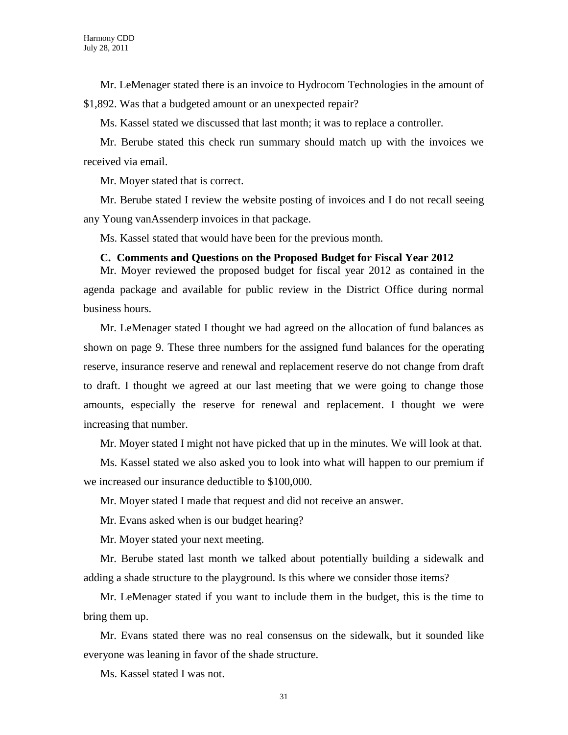Mr. LeMenager stated there is an invoice to Hydrocom Technologies in the amount of

\$1,892. Was that a budgeted amount or an unexpected repair?

Ms. Kassel stated we discussed that last month; it was to replace a controller.

Mr. Berube stated this check run summary should match up with the invoices we received via email.

Mr. Moyer stated that is correct.

Mr. Berube stated I review the website posting of invoices and I do not recall seeing any Young vanAssenderp invoices in that package.

Ms. Kassel stated that would have been for the previous month.

#### **C. Comments and Questions on the Proposed Budget for Fiscal Year 2012**

Mr. Moyer reviewed the proposed budget for fiscal year 2012 as contained in the agenda package and available for public review in the District Office during normal business hours.

Mr. LeMenager stated I thought we had agreed on the allocation of fund balances as shown on page 9. These three numbers for the assigned fund balances for the operating reserve, insurance reserve and renewal and replacement reserve do not change from draft to draft. I thought we agreed at our last meeting that we were going to change those amounts, especially the reserve for renewal and replacement. I thought we were increasing that number.

Mr. Moyer stated I might not have picked that up in the minutes. We will look at that.

Ms. Kassel stated we also asked you to look into what will happen to our premium if we increased our insurance deductible to \$100,000.

Mr. Moyer stated I made that request and did not receive an answer.

Mr. Evans asked when is our budget hearing?

Mr. Moyer stated your next meeting.

Mr. Berube stated last month we talked about potentially building a sidewalk and adding a shade structure to the playground. Is this where we consider those items?

Mr. LeMenager stated if you want to include them in the budget, this is the time to bring them up.

Mr. Evans stated there was no real consensus on the sidewalk, but it sounded like everyone was leaning in favor of the shade structure.

Ms. Kassel stated I was not.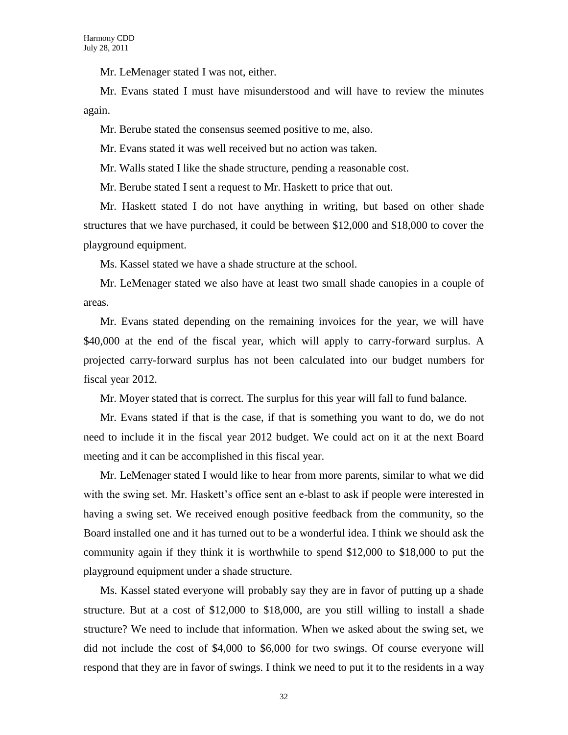Mr. LeMenager stated I was not, either.

Mr. Evans stated I must have misunderstood and will have to review the minutes again.

Mr. Berube stated the consensus seemed positive to me, also.

Mr. Evans stated it was well received but no action was taken.

Mr. Walls stated I like the shade structure, pending a reasonable cost.

Mr. Berube stated I sent a request to Mr. Haskett to price that out.

Mr. Haskett stated I do not have anything in writing, but based on other shade structures that we have purchased, it could be between \$12,000 and \$18,000 to cover the playground equipment.

Ms. Kassel stated we have a shade structure at the school.

Mr. LeMenager stated we also have at least two small shade canopies in a couple of areas.

Mr. Evans stated depending on the remaining invoices for the year, we will have \$40,000 at the end of the fiscal year, which will apply to carry-forward surplus. A projected carry-forward surplus has not been calculated into our budget numbers for fiscal year 2012.

Mr. Moyer stated that is correct. The surplus for this year will fall to fund balance.

Mr. Evans stated if that is the case, if that is something you want to do, we do not need to include it in the fiscal year 2012 budget. We could act on it at the next Board meeting and it can be accomplished in this fiscal year.

Mr. LeMenager stated I would like to hear from more parents, similar to what we did with the swing set. Mr. Haskett's office sent an e-blast to ask if people were interested in having a swing set. We received enough positive feedback from the community, so the Board installed one and it has turned out to be a wonderful idea. I think we should ask the community again if they think it is worthwhile to spend  $$12,000$  to  $$18,000$  to put the playground equipment under a shade structure.

Ms. Kassel stated everyone will probably say they are in favor of putting up a shade structure. But at a cost of \$12,000 to \$18,000, are you still willing to install a shade structure? We need to include that information. When we asked about the swing set, we did not include the cost of \$4,000 to \$6,000 for two swings. Of course everyone will respond that they are in favor of swings. I think we need to put it to the residents in a way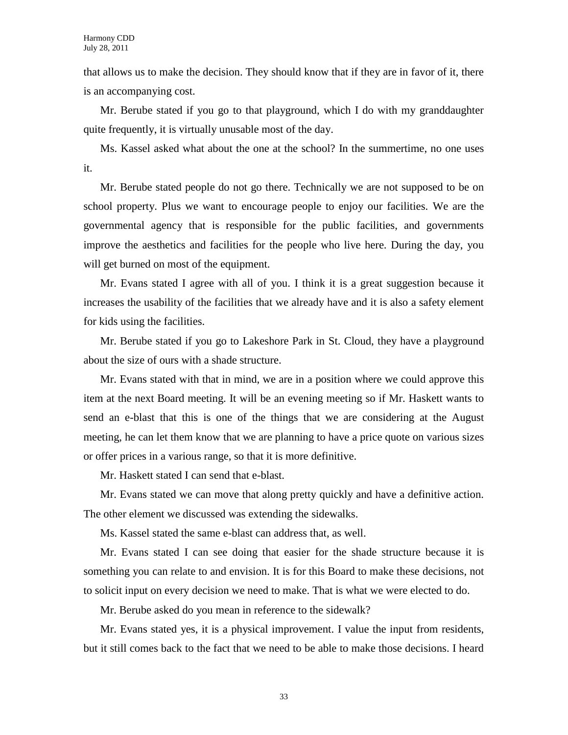that allows us to make the decision. They should know that if they are in favor of it, there is an accompanying cost.

Mr. Berube stated if you go to that playground, which I do with my granddaughter quite frequently, it is virtually unusable most of the day.

Ms. Kassel asked what about the one at the school? In the summertime, no one uses it.

Mr. Berube stated people do not go there. Technically we are not supposed to be on school property. Plus we want to encourage people to enjoy our facilities. We are the governmental agency that is responsible for the public facilities, and governments improve the aesthetics and facilities for the people who live here. During the day, you will get burned on most of the equipment.

Mr. Evans stated I agree with all of you. I think it is a great suggestion because it increases the usability of the facilities that we already have and it is also a safety element for kids using the facilities.

Mr. Berube stated if you go to Lakeshore Park in St. Cloud, they have a playground about the size of ours with a shade structure.

Mr. Evans stated with that in mind, we are in a position where we could approve this item at the next Board meeting. It will be an evening meeting so if Mr. Haskett wants to send an e-blast that this is one of the things that we are considering at the August meeting, he can let them know that we are planning to have a price quote on various sizes or offer prices in a various range, so that it is more definitive.

Mr. Haskett stated I can send that e-blast.

Mr. Evans stated we can move that along pretty quickly and have a definitive action. The other element we discussed was extending the sidewalks.

Ms. Kassel stated the same e-blast can address that, as well.

Mr. Evans stated I can see doing that easier for the shade structure because it is something you can relate to and envision. It is for this Board to make these decisions, not to solicit input on every decision we need to make. That is what we were elected to do.

Mr. Berube asked do you mean in reference to the sidewalk?

Mr. Evans stated yes, it is a physical improvement. I value the input from residents, but it still comes back to the fact that we need to be able to make those decisions. I heard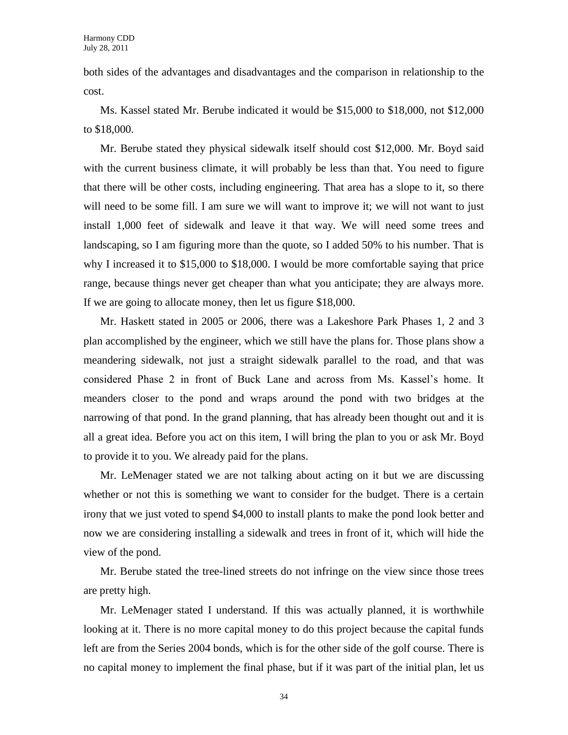both sides of the advantages and disadvantages and the comparison in relationship to the cost.

Ms. Kassel stated Mr. Berube indicated it would be \$15,000 to \$18,000, not \$12,000 to \$18,000.

Mr. Berube stated they physical sidewalk itself should cost \$12,000. Mr. Boyd said with the current business climate, it will probably be less than that. You need to figure that there will be other costs, including engineering. That area has a slope to it, so there will need to be some fill. I am sure we will want to improve it; we will not want to just install 1,000 feet of sidewalk and leave it that way. We will need some trees and landscaping, so I am figuring more than the quote, so I added 50% to his number. That is why I increased it to \$15,000 to \$18,000. I would be more comfortable saying that price range, because things never get cheaper than what you anticipate; they are always more. If we are going to allocate money, then let us figure \$18,000.

Mr. Haskett stated in 2005 or 2006, there was a Lakeshore Park Phases 1, 2 and 3 plan accomplished by the engineer, which we still have the plans for. Those plans show a meandering sidewalk, not just a straight sidewalk parallel to the road, and that was considered Phase 2 in front of Buck Lane and across from Ms. Kassel's home. It meanders closer to the pond and wraps around the pond with two bridges at the narrowing of that pond. In the grand planning, that has already been thought out and it is all a great idea. Before you act on this item, I will bring the plan to you or ask Mr. Boyd to provide it to you. We already paid for the plans.

Mr. LeMenager stated we are not talking about acting on it but we are discussing whether or not this is something we want to consider for the budget. There is a certain irony that we just voted to spend \$4,000 to install plants to make the pond look better and now we are considering installing a sidewalk and trees in front of it, which will hide the view of the pond.

Mr. Berube stated the tree-lined streets do not infringe on the view since those trees are pretty high.

Mr. LeMenager stated I understand. If this was actually planned, it is worthwhile looking at it. There is no more capital money to do this project because the capital funds left are from the Series 2004 bonds, which is for the other side of the golf course. There is no capital money to implement the final phase, but if it was part of the initial plan, let us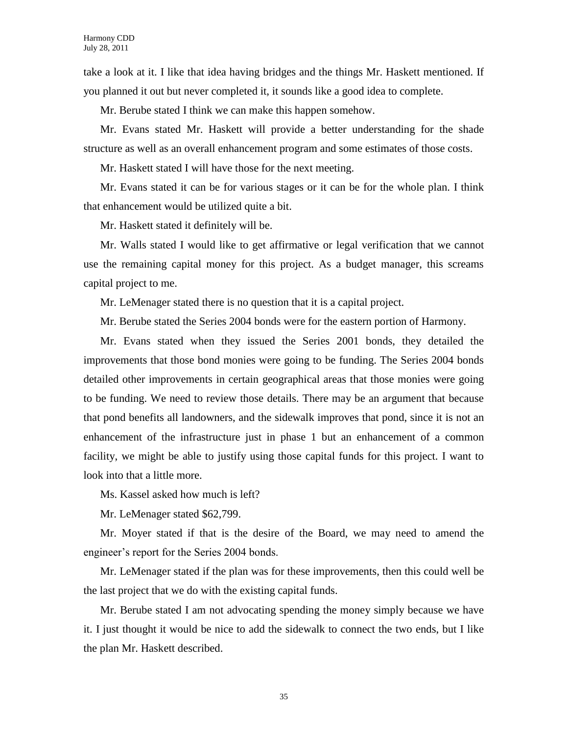take a look at it. I like that idea having bridges and the things Mr. Haskett mentioned. If you planned it out but never completed it, it sounds like a good idea to complete.

Mr. Berube stated I think we can make this happen somehow.

Mr. Evans stated Mr. Haskett will provide a better understanding for the shade structure as well as an overall enhancement program and some estimates of those costs.

Mr. Haskett stated I will have those for the next meeting.

Mr. Evans stated it can be for various stages or it can be for the whole plan. I think that enhancement would be utilized quite a bit.

Mr. Haskett stated it definitely will be.

Mr. Walls stated I would like to get affirmative or legal verification that we cannot use the remaining capital money for this project. As a budget manager, this screams capital project to me.

Mr. LeMenager stated there is no question that it is a capital project.

Mr. Berube stated the Series 2004 bonds were for the eastern portion of Harmony.

Mr. Evans stated when they issued the Series 2001 bonds, they detailed the improvements that those bond monies were going to be funding. The Series 2004 bonds detailed other improvements in certain geographical areas that those monies were going to be funding. We need to review those details. There may be an argument that because that pond benefits all landowners, and the sidewalk improves that pond, since it is not an enhancement of the infrastructure just in phase 1 but an enhancement of a common facility, we might be able to justify using those capital funds for this project. I want to look into that a little more.

Ms. Kassel asked how much is left?

Mr. LeMenager stated \$62,799.

Mr. Moyer stated if that is the desire of the Board, we may need to amend the engineer's report for the Series 2004 bonds.

Mr. LeMenager stated if the plan was for these improvements, then this could well be the last project that we do with the existing capital funds.

Mr. Berube stated I am not advocating spending the money simply because we have it. I just thought it would be nice to add the sidewalk to connect the two ends, but I like the plan Mr. Haskett described.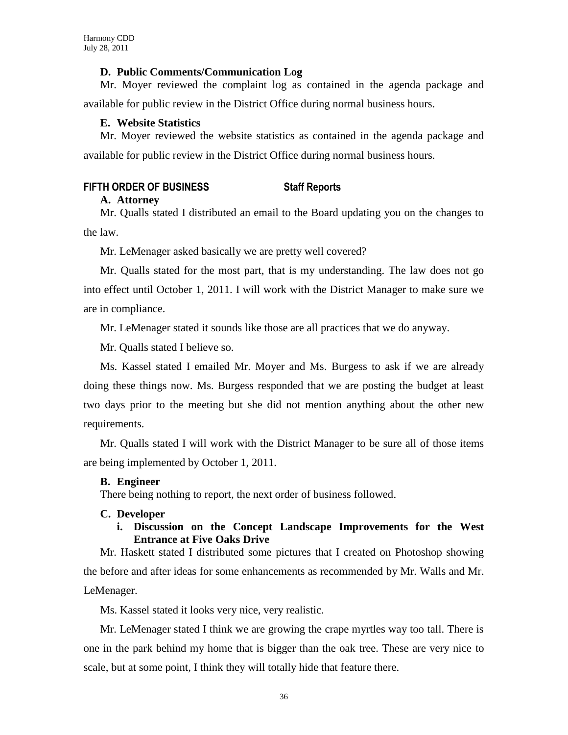## **D. Public Comments/Communication Log**

Mr. Moyer reviewed the complaint log as contained in the agenda package and available for public review in the District Office during normal business hours.

## **E. Website Statistics**

Mr. Moyer reviewed the website statistics as contained in the agenda package and available for public review in the District Office during normal business hours.

## **FIFTH ORDER OF BUSINESS Staff Reports**

## **A. Attorney**

Mr. Qualls stated I distributed an email to the Board updating you on the changes to the law.

Mr. LeMenager asked basically we are pretty well covered?

Mr. Qualls stated for the most part, that is my understanding. The law does not go into effect until October 1, 2011. I will work with the District Manager to make sure we are in compliance.

Mr. LeMenager stated it sounds like those are all practices that we do anyway.

Mr. Qualls stated I believe so.

Ms. Kassel stated I emailed Mr. Moyer and Ms. Burgess to ask if we are already doing these things now. Ms. Burgess responded that we are posting the budget at least two days prior to the meeting but she did not mention anything about the other new requirements.

Mr. Qualls stated I will work with the District Manager to be sure all of those items are being implemented by October 1, 2011.

## **B. Engineer**

There being nothing to report, the next order of business followed.

## **C. Developer**

## **i. Discussion on the Concept Landscape Improvements for the West Entrance at Five Oaks Drive**

Mr. Haskett stated I distributed some pictures that I created on Photoshop showing the before and after ideas for some enhancements as recommended by Mr. Walls and Mr. LeMenager.

Ms. Kassel stated it looks very nice, very realistic.

Mr. LeMenager stated I think we are growing the crape myrtles way too tall. There is one in the park behind my home that is bigger than the oak tree. These are very nice to scale, but at some point, I think they will totally hide that feature there.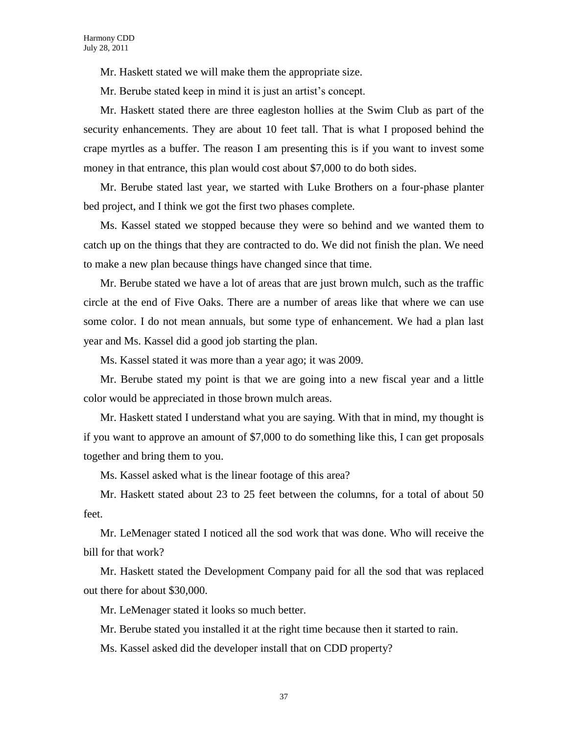Mr. Haskett stated we will make them the appropriate size.

Mr. Berube stated keep in mind it is just an artist's concept.

Mr. Haskett stated there are three eagleston hollies at the Swim Club as part of the security enhancements. They are about 10 feet tall. That is what I proposed behind the crape myrtles as a buffer. The reason I am presenting this is if you want to invest some money in that entrance, this plan would cost about \$7,000 to do both sides.

Mr. Berube stated last year, we started with Luke Brothers on a four-phase planter bed project, and I think we got the first two phases complete.

Ms. Kassel stated we stopped because they were so behind and we wanted them to catch up on the things that they are contracted to do. We did not finish the plan. We need to make a new plan because things have changed since that time.

Mr. Berube stated we have a lot of areas that are just brown mulch, such as the traffic circle at the end of Five Oaks. There are a number of areas like that where we can use some color. I do not mean annuals, but some type of enhancement. We had a plan last year and Ms. Kassel did a good job starting the plan.

Ms. Kassel stated it was more than a year ago; it was 2009.

Mr. Berube stated my point is that we are going into a new fiscal year and a little color would be appreciated in those brown mulch areas.

Mr. Haskett stated I understand what you are saying. With that in mind, my thought is if you want to approve an amount of \$7,000 to do something like this, I can get proposals together and bring them to you.

Ms. Kassel asked what is the linear footage of this area?

Mr. Haskett stated about 23 to 25 feet between the columns, for a total of about 50 feet.

Mr. LeMenager stated I noticed all the sod work that was done. Who will receive the bill for that work?

Mr. Haskett stated the Development Company paid for all the sod that was replaced out there for about \$30,000.

Mr. LeMenager stated it looks so much better.

Mr. Berube stated you installed it at the right time because then it started to rain.

Ms. Kassel asked did the developer install that on CDD property?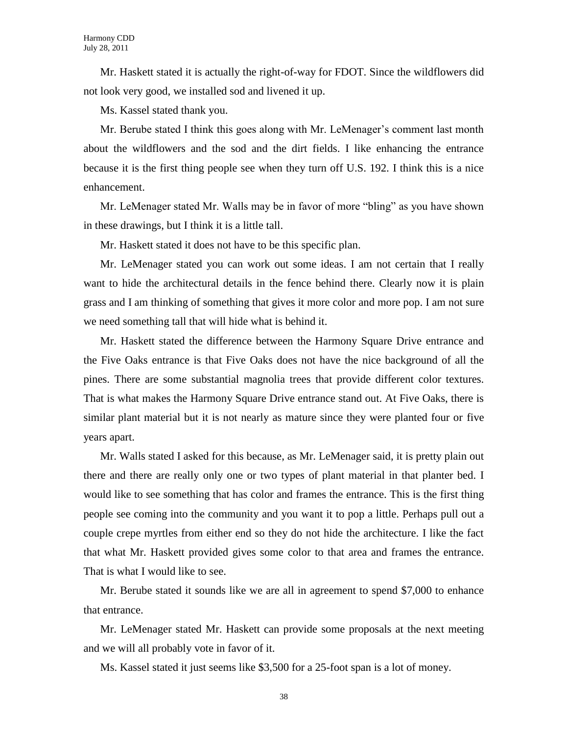Mr. Haskett stated it is actually the right-of-way for FDOT. Since the wildflowers did not look very good, we installed sod and livened it up.

Ms. Kassel stated thank you.

Mr. Berube stated I think this goes along with Mr. LeMenager's comment last month about the wildflowers and the sod and the dirt fields. I like enhancing the entrance because it is the first thing people see when they turn off U.S. 192. I think this is a nice enhancement.

Mr. LeMenager stated Mr. Walls may be in favor of more "bling" as you have shown in these drawings, but I think it is a little tall.

Mr. Haskett stated it does not have to be this specific plan.

Mr. LeMenager stated you can work out some ideas. I am not certain that I really want to hide the architectural details in the fence behind there. Clearly now it is plain grass and I am thinking of something that gives it more color and more pop. I am not sure we need something tall that will hide what is behind it.

Mr. Haskett stated the difference between the Harmony Square Drive entrance and the Five Oaks entrance is that Five Oaks does not have the nice background of all the pines. There are some substantial magnolia trees that provide different color textures. That is what makes the Harmony Square Drive entrance stand out. At Five Oaks, there is similar plant material but it is not nearly as mature since they were planted four or five years apart.

Mr. Walls stated I asked for this because, as Mr. LeMenager said, it is pretty plain out there and there are really only one or two types of plant material in that planter bed. I would like to see something that has color and frames the entrance. This is the first thing people see coming into the community and you want it to pop a little. Perhaps pull out a couple crepe myrtles from either end so they do not hide the architecture. I like the fact that what Mr. Haskett provided gives some color to that area and frames the entrance. That is what I would like to see.

Mr. Berube stated it sounds like we are all in agreement to spend \$7,000 to enhance that entrance.

Mr. LeMenager stated Mr. Haskett can provide some proposals at the next meeting and we will all probably vote in favor of it.

Ms. Kassel stated it just seems like \$3,500 for a 25-foot span is a lot of money.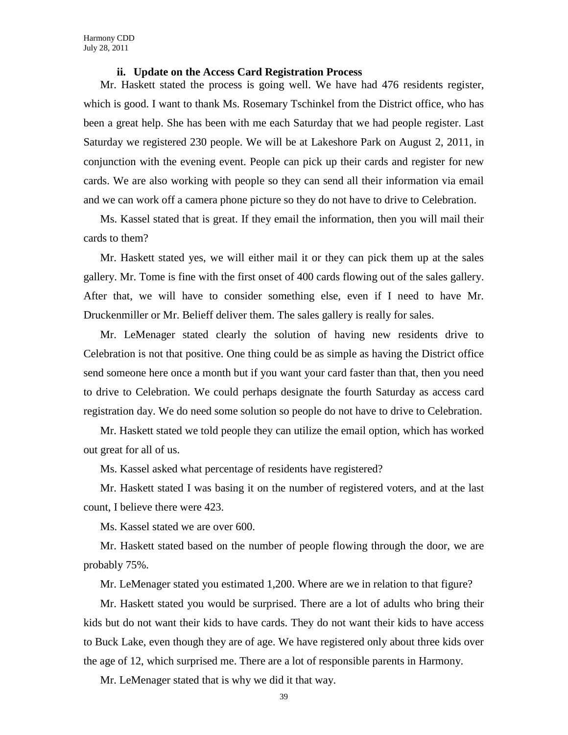### **ii. Update on the Access Card Registration Process**

Mr. Haskett stated the process is going well. We have had 476 residents register, which is good. I want to thank Ms. Rosemary Tschinkel from the District office, who has been a great help. She has been with me each Saturday that we had people register. Last Saturday we registered 230 people. We will be at Lakeshore Park on August 2, 2011, in conjunction with the evening event. People can pick up their cards and register for new cards. We are also working with people so they can send all their information via email and we can work off a camera phone picture so they do not have to drive to Celebration.

Ms. Kassel stated that is great. If they email the information, then you will mail their cards to them?

Mr. Haskett stated yes, we will either mail it or they can pick them up at the sales gallery. Mr. Tome is fine with the first onset of 400 cards flowing out of the sales gallery. After that, we will have to consider something else, even if I need to have Mr. Druckenmiller or Mr. Belieff deliver them. The sales gallery is really for sales.

Mr. LeMenager stated clearly the solution of having new residents drive to Celebration is not that positive. One thing could be as simple as having the District office send someone here once a month but if you want your card faster than that, then you need to drive to Celebration. We could perhaps designate the fourth Saturday as access card registration day. We do need some solution so people do not have to drive to Celebration.

Mr. Haskett stated we told people they can utilize the email option, which has worked out great for all of us.

Ms. Kassel asked what percentage of residents have registered?

Mr. Haskett stated I was basing it on the number of registered voters, and at the last count, I believe there were 423.

Ms. Kassel stated we are over 600.

Mr. Haskett stated based on the number of people flowing through the door, we are probably 75%.

Mr. LeMenager stated you estimated 1,200. Where are we in relation to that figure?

Mr. Haskett stated you would be surprised. There are a lot of adults who bring their kids but do not want their kids to have cards. They do not want their kids to have access to Buck Lake, even though they are of age. We have registered only about three kids over the age of 12, which surprised me. There are a lot of responsible parents in Harmony.

Mr. LeMenager stated that is why we did it that way.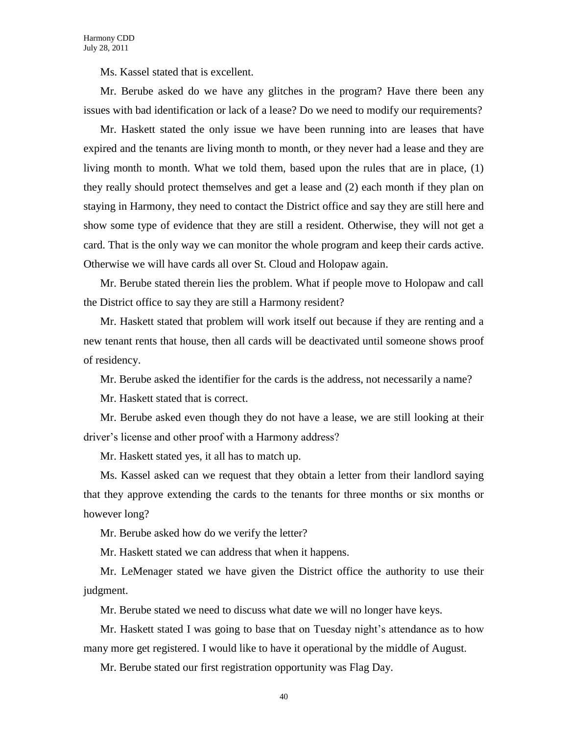Ms. Kassel stated that is excellent.

Mr. Berube asked do we have any glitches in the program? Have there been any issues with bad identification or lack of a lease? Do we need to modify our requirements?

Mr. Haskett stated the only issue we have been running into are leases that have expired and the tenants are living month to month, or they never had a lease and they are living month to month. What we told them, based upon the rules that are in place, (1) they really should protect themselves and get a lease and (2) each month if they plan on staying in Harmony, they need to contact the District office and say they are still here and show some type of evidence that they are still a resident. Otherwise, they will not get a card. That is the only way we can monitor the whole program and keep their cards active. Otherwise we will have cards all over St. Cloud and Holopaw again.

Mr. Berube stated therein lies the problem. What if people move to Holopaw and call the District office to say they are still a Harmony resident?

Mr. Haskett stated that problem will work itself out because if they are renting and a new tenant rents that house, then all cards will be deactivated until someone shows proof of residency.

Mr. Berube asked the identifier for the cards is the address, not necessarily a name?

Mr. Haskett stated that is correct.

Mr. Berube asked even though they do not have a lease, we are still looking at their driver's license and other proof with a Harmony address?

Mr. Haskett stated yes, it all has to match up.

Ms. Kassel asked can we request that they obtain a letter from their landlord saying that they approve extending the cards to the tenants for three months or six months or however long?

Mr. Berube asked how do we verify the letter?

Mr. Haskett stated we can address that when it happens.

Mr. LeMenager stated we have given the District office the authority to use their judgment.

Mr. Berube stated we need to discuss what date we will no longer have keys.

Mr. Haskett stated I was going to base that on Tuesday night's attendance as to how many more get registered. I would like to have it operational by the middle of August.

Mr. Berube stated our first registration opportunity was Flag Day.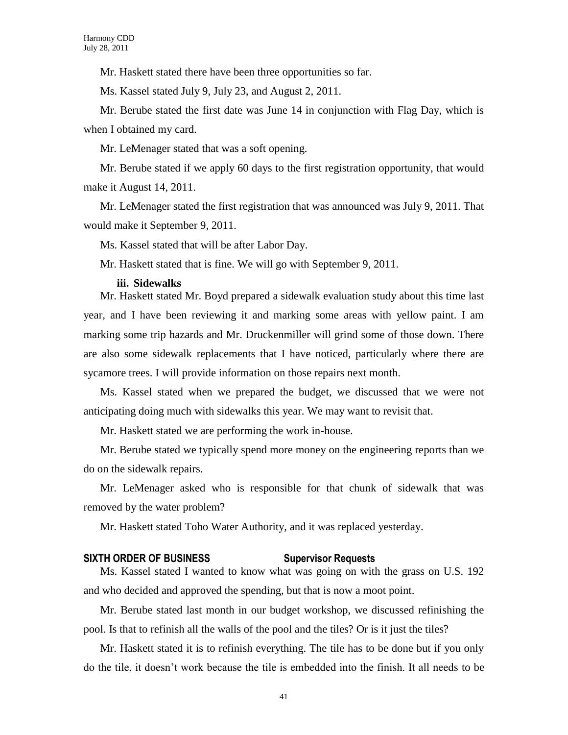Mr. Haskett stated there have been three opportunities so far.

Ms. Kassel stated July 9, July 23, and August 2, 2011.

Mr. Berube stated the first date was June 14 in conjunction with Flag Day, which is when I obtained my card.

Mr. LeMenager stated that was a soft opening.

Mr. Berube stated if we apply 60 days to the first registration opportunity, that would make it August 14, 2011.

Mr. LeMenager stated the first registration that was announced was July 9, 2011. That would make it September 9, 2011.

Ms. Kassel stated that will be after Labor Day.

Mr. Haskett stated that is fine. We will go with September 9, 2011.

#### **iii. Sidewalks**

Mr. Haskett stated Mr. Boyd prepared a sidewalk evaluation study about this time last year, and I have been reviewing it and marking some areas with yellow paint. I am marking some trip hazards and Mr. Druckenmiller will grind some of those down. There are also some sidewalk replacements that I have noticed, particularly where there are sycamore trees. I will provide information on those repairs next month.

Ms. Kassel stated when we prepared the budget, we discussed that we were not anticipating doing much with sidewalks this year. We may want to revisit that.

Mr. Haskett stated we are performing the work in-house.

Mr. Berube stated we typically spend more money on the engineering reports than we do on the sidewalk repairs.

Mr. LeMenager asked who is responsible for that chunk of sidewalk that was removed by the water problem?

Mr. Haskett stated Toho Water Authority, and it was replaced yesterday.

#### **SIXTH ORDER OF BUSINESS Supervisor Requests**

Ms. Kassel stated I wanted to know what was going on with the grass on U.S. 192 and who decided and approved the spending, but that is now a moot point.

Mr. Berube stated last month in our budget workshop, we discussed refinishing the pool. Is that to refinish all the walls of the pool and the tiles? Or is it just the tiles?

Mr. Haskett stated it is to refinish everything. The tile has to be done but if you only do the tile, it doesn't work because the tile is embedded into the finish. It all needs to be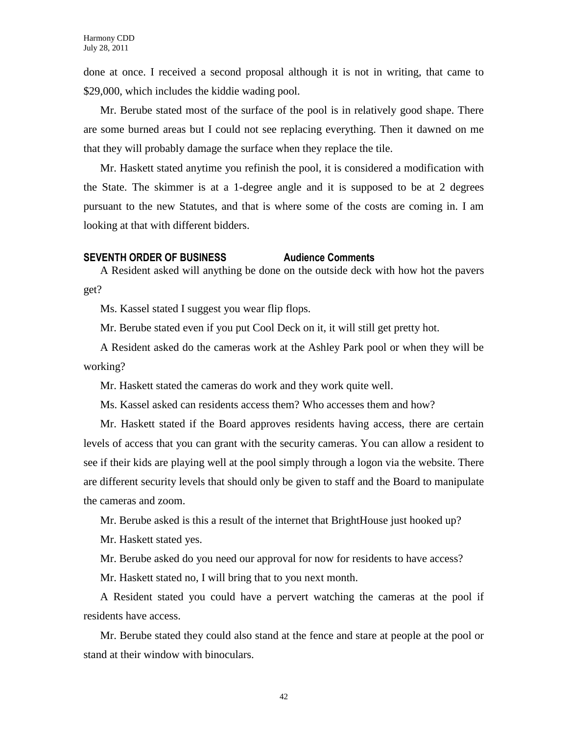done at once. I received a second proposal although it is not in writing, that came to \$29,000, which includes the kiddie wading pool.

Mr. Berube stated most of the surface of the pool is in relatively good shape. There are some burned areas but I could not see replacing everything. Then it dawned on me that they will probably damage the surface when they replace the tile.

Mr. Haskett stated anytime you refinish the pool, it is considered a modification with the State. The skimmer is at a 1-degree angle and it is supposed to be at 2 degrees pursuant to the new Statutes, and that is where some of the costs are coming in. I am looking at that with different bidders.

#### **SEVENTH ORDER OF BUSINESS Audience Comments**

A Resident asked will anything be done on the outside deck with how hot the pavers get?

Ms. Kassel stated I suggest you wear flip flops.

Mr. Berube stated even if you put Cool Deck on it, it will still get pretty hot.

A Resident asked do the cameras work at the Ashley Park pool or when they will be working?

Mr. Haskett stated the cameras do work and they work quite well.

Ms. Kassel asked can residents access them? Who accesses them and how?

Mr. Haskett stated if the Board approves residents having access, there are certain levels of access that you can grant with the security cameras. You can allow a resident to see if their kids are playing well at the pool simply through a logon via the website. There are different security levels that should only be given to staff and the Board to manipulate the cameras and zoom.

Mr. Berube asked is this a result of the internet that BrightHouse just hooked up?

Mr. Haskett stated yes.

Mr. Berube asked do you need our approval for now for residents to have access?

Mr. Haskett stated no, I will bring that to you next month.

A Resident stated you could have a pervert watching the cameras at the pool if residents have access.

Mr. Berube stated they could also stand at the fence and stare at people at the pool or stand at their window with binoculars.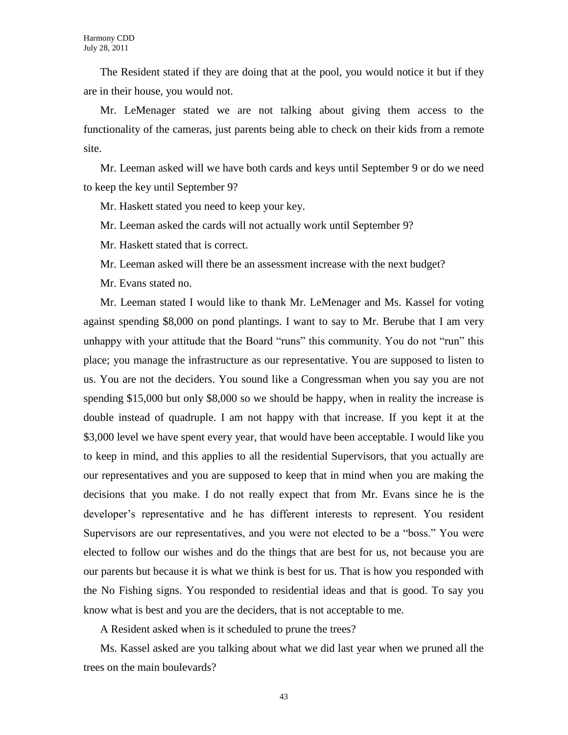The Resident stated if they are doing that at the pool, you would notice it but if they are in their house, you would not.

Mr. LeMenager stated we are not talking about giving them access to the functionality of the cameras, just parents being able to check on their kids from a remote site.

Mr. Leeman asked will we have both cards and keys until September 9 or do we need to keep the key until September 9?

Mr. Haskett stated you need to keep your key.

Mr. Leeman asked the cards will not actually work until September 9?

Mr. Haskett stated that is correct.

Mr. Leeman asked will there be an assessment increase with the next budget?

Mr. Evans stated no.

Mr. Leeman stated I would like to thank Mr. LeMenager and Ms. Kassel for voting against spending \$8,000 on pond plantings. I want to say to Mr. Berube that I am very unhappy with your attitude that the Board "runs" this community. You do not "run" this place; you manage the infrastructure as our representative. You are supposed to listen to us. You are not the deciders. You sound like a Congressman when you say you are not spending \$15,000 but only \$8,000 so we should be happy, when in reality the increase is double instead of quadruple. I am not happy with that increase. If you kept it at the \$3,000 level we have spent every year, that would have been acceptable. I would like you to keep in mind, and this applies to all the residential Supervisors, that you actually are our representatives and you are supposed to keep that in mind when you are making the decisions that you make. I do not really expect that from Mr. Evans since he is the developer's representative and he has different interests to represent. You resident Supervisors are our representatives, and you were not elected to be a "boss." You were elected to follow our wishes and do the things that are best for us, not because you are our parents but because it is what we think is best for us. That is how you responded with the No Fishing signs. You responded to residential ideas and that is good. To say you know what is best and you are the deciders, that is not acceptable to me.

A Resident asked when is it scheduled to prune the trees?

Ms. Kassel asked are you talking about what we did last year when we pruned all the trees on the main boulevards?